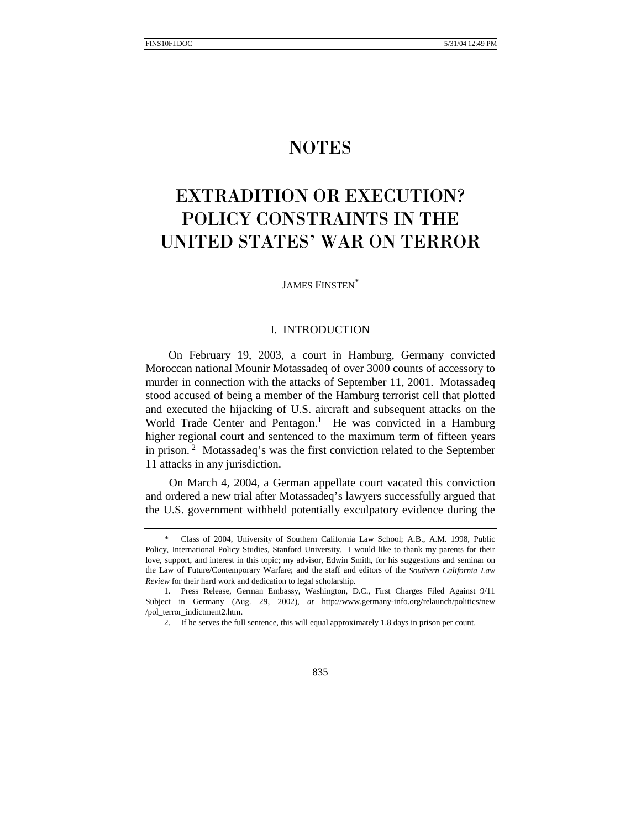# **NOTES**

# **EXTRADITION OR EXECUTION?** POLICY CONSTRAINTS IN THE UNITED STATES' WAR ON TERROR

JAMES FINSTEN\*

### I. INTRODUCTION

On February 19, 2003, a court in Hamburg, Germany convicted Moroccan national Mounir Motassadeq of over 3000 counts of accessory to murder in connection with the attacks of September 11, 2001. Motassadeq stood accused of being a member of the Hamburg terrorist cell that plotted and executed the hijacking of U.S. aircraft and subsequent attacks on the World Trade Center and Pentagon.<sup>1</sup> He was convicted in a Hamburg higher regional court and sentenced to the maximum term of fifteen years in prison.<sup>2</sup> Motassadeq's was the first conviction related to the September 11 attacks in any jurisdiction.

On March 4, 2004, a German appellate court vacated this conviction and ordered a new trial after Motassadeq's lawyers successfully argued that the U.S. government withheld potentially exculpatory evidence during the

 <sup>\*</sup> Class of 2004, University of Southern California Law School; A.B., A.M. 1998, Public Policy, International Policy Studies, Stanford University. I would like to thank my parents for their love, support, and interest in this topic; my advisor, Edwin Smith, for his suggestions and seminar on the Law of Future/Contemporary Warfare; and the staff and editors of the *Southern California Law Review* for their hard work and dedication to legal scholarship.

 <sup>1.</sup> Press Release, German Embassy, Washington, D.C., First Charges Filed Against 9/11 Subject in Germany (Aug. 29, 2002), *at* http://www.germany-info.org/relaunch/politics/new /pol\_terror\_indictment2.htm.

 <sup>2.</sup> If he serves the full sentence, this will equal approximately 1.8 days in prison per count.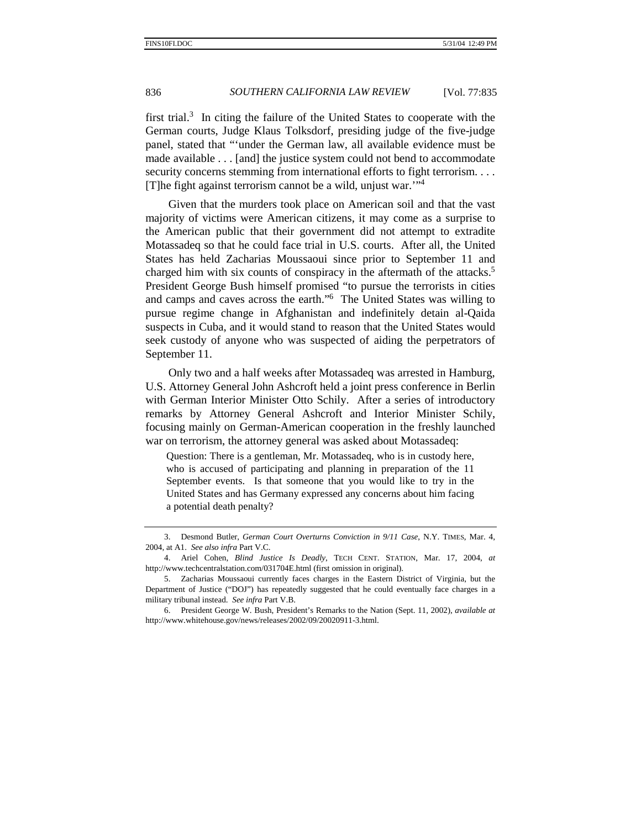first trial. $3$  In citing the failure of the United States to cooperate with the German courts, Judge Klaus Tolksdorf, presiding judge of the five-judge panel, stated that "'under the German law, all available evidence must be made available . . . [and] the justice system could not bend to accommodate security concerns stemming from international efforts to fight terrorism. . . . [T]he fight against terrorism cannot be a wild, unjust war.'"4

Given that the murders took place on American soil and that the vast majority of victims were American citizens, it may come as a surprise to the American public that their government did not attempt to extradite Motassadeq so that he could face trial in U.S. courts. After all, the United States has held Zacharias Moussaoui since prior to September 11 and charged him with six counts of conspiracy in the aftermath of the attacks.<sup>5</sup> President George Bush himself promised "to pursue the terrorists in cities and camps and caves across the earth."6 The United States was willing to pursue regime change in Afghanistan and indefinitely detain al-Qaida suspects in Cuba, and it would stand to reason that the United States would seek custody of anyone who was suspected of aiding the perpetrators of September 11.

Only two and a half weeks after Motassadeq was arrested in Hamburg, U.S. Attorney General John Ashcroft held a joint press conference in Berlin with German Interior Minister Otto Schily. After a series of introductory remarks by Attorney General Ashcroft and Interior Minister Schily, focusing mainly on German-American cooperation in the freshly launched war on terrorism, the attorney general was asked about Motassadeq:

Question: There is a gentleman, Mr. Motassadeq, who is in custody here, who is accused of participating and planning in preparation of the 11 September events. Is that someone that you would like to try in the United States and has Germany expressed any concerns about him facing a potential death penalty?

 <sup>3.</sup> Desmond Butler, *German Court Overturns Conviction in 9/11 Case*, N.Y. TIMES, Mar. 4, 2004, at A1. *See also infra* Part V.C.

 <sup>4.</sup> Ariel Cohen, *Blind Justice Is Deadly*, TECH CENT. STATION, Mar. 17, 2004, *at*  http://www.techcentralstation.com/031704E.html (first omission in original).

 <sup>5.</sup> Zacharias Moussaoui currently faces charges in the Eastern District of Virginia, but the Department of Justice ("DOJ") has repeatedly suggested that he could eventually face charges in a military tribunal instead. *See infra* Part V.B.

 <sup>6.</sup> President George W. Bush, President's Remarks to the Nation (Sept. 11, 2002), *available at* http://www.whitehouse.gov/news/releases/2002/09/20020911-3.html.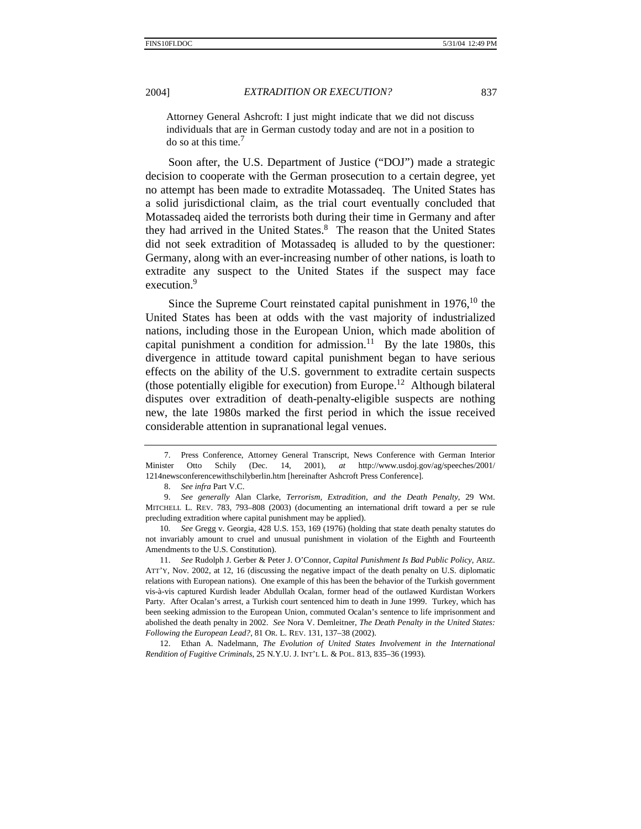Attorney General Ashcroft: I just might indicate that we did not discuss individuals that are in German custody today and are not in a position to do so at this time.<sup>7</sup>

Soon after, the U.S. Department of Justice ("DOJ") made a strategic decision to cooperate with the German prosecution to a certain degree, yet no attempt has been made to extradite Motassadeq. The United States has a solid jurisdictional claim, as the trial court eventually concluded that Motassadeq aided the terrorists both during their time in Germany and after they had arrived in the United States.<sup>8</sup> The reason that the United States did not seek extradition of Motassadeq is alluded to by the questioner: Germany, along with an ever-increasing number of other nations, is loath to extradite any suspect to the United States if the suspect may face execution.<sup>9</sup>

Since the Supreme Court reinstated capital punishment in  $1976$ ,<sup>10</sup> the United States has been at odds with the vast majority of industrialized nations, including those in the European Union, which made abolition of capital punishment a condition for admission.<sup>11</sup> By the late 1980s, this divergence in attitude toward capital punishment began to have serious effects on the ability of the U.S. government to extradite certain suspects (those potentially eligible for execution) from Europe.<sup>12</sup> Although bilateral disputes over extradition of death-penalty-eligible suspects are nothing new, the late 1980s marked the first period in which the issue received considerable attention in supranational legal venues.

 7. Press Conference, Attorney General Transcript, News Conference with German Interior Minister Otto Schily (Dec. 14, 2001), *at* http://www.usdoj.gov/ag/speeches/2001/ 1214newsconferencewithschilyberlin.htm [hereinafter Ashcroft Press Conference].

9. *See generally* Alan Clarke, *Terrorism, Extradition, and the Death Penalty*, 29 WM. MITCHELL L. REV. 783, 793–808 (2003) (documenting an international drift toward a per se rule precluding extradition where capital punishment may be applied).

10*. See* Gregg v. Georgia, 428 U.S. 153, 169 (1976) (holding that state death penalty statutes do not invariably amount to cruel and unusual punishment in violation of the Eighth and Fourteenth Amendments to the U.S. Constitution).

 11. *See* Rudolph J. Gerber & Peter J. O'Connor, *Capital Punishment Is Bad Public Policy*, ARIZ. ATT'Y, Nov. 2002, at 12, 16 (discussing the negative impact of the death penalty on U.S. diplomatic relations with European nations). One example of this has been the behavior of the Turkish government vis-à-vis captured Kurdish leader Abdullah Ocalan, former head of the outlawed Kurdistan Workers Party. After Ocalan's arrest, a Turkish court sentenced him to death in June 1999. Turkey, which has been seeking admission to the European Union, commuted Ocalan's sentence to life imprisonment and abolished the death penalty in 2002. *See* Nora V. Demleitner, *The Death Penalty in the United States: Following the European Lead?*, 81 OR. L. REV. 131, 137–38 (2002).

 12. Ethan A. Nadelmann, *The Evolution of United States Involvement in the International Rendition of Fugitive Criminals*, 25 N.Y.U. J. INT'L L. & POL. 813, 835–36 (1993).

<sup>8.</sup> *See infra* Part V.C.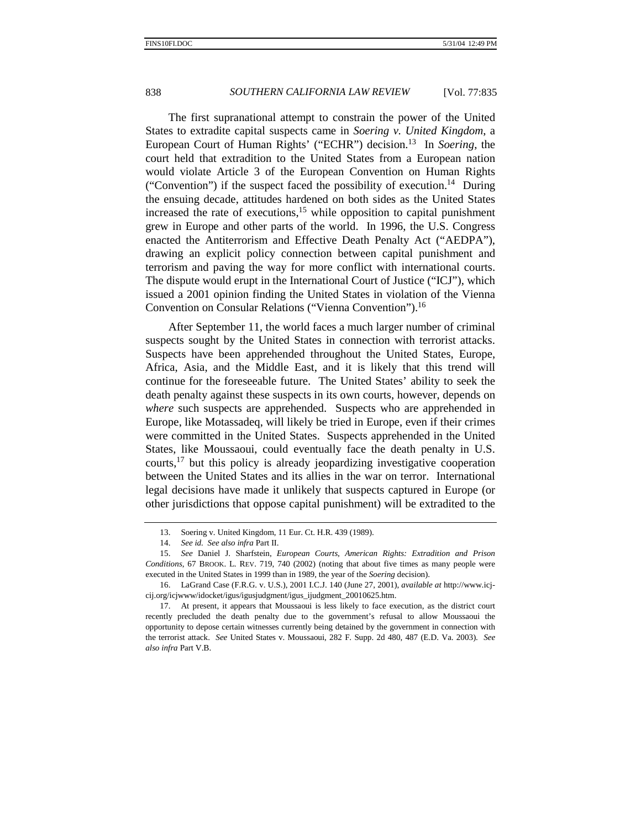The first supranational attempt to constrain the power of the United States to extradite capital suspects came in *Soering v. United Kingdom*, a European Court of Human Rights' ("ECHR") decision.13 In *Soering*, the court held that extradition to the United States from a European nation would violate Article 3 of the European Convention on Human Rights ("Convention") if the suspect faced the possibility of execution.<sup>14</sup> During the ensuing decade, attitudes hardened on both sides as the United States increased the rate of executions,<sup>15</sup> while opposition to capital punishment grew in Europe and other parts of the world. In 1996, the U.S. Congress enacted the Antiterrorism and Effective Death Penalty Act ("AEDPA"), drawing an explicit policy connection between capital punishment and terrorism and paving the way for more conflict with international courts. The dispute would erupt in the International Court of Justice ("ICJ"), which issued a 2001 opinion finding the United States in violation of the Vienna Convention on Consular Relations ("Vienna Convention").16

After September 11, the world faces a much larger number of criminal suspects sought by the United States in connection with terrorist attacks. Suspects have been apprehended throughout the United States, Europe, Africa, Asia, and the Middle East, and it is likely that this trend will continue for the foreseeable future. The United States' ability to seek the death penalty against these suspects in its own courts, however, depends on *where* such suspects are apprehended. Suspects who are apprehended in Europe, like Motassadeq, will likely be tried in Europe, even if their crimes were committed in the United States. Suspects apprehended in the United States, like Moussaoui, could eventually face the death penalty in U.S. courts,  $17$  but this policy is already jeopardizing investigative cooperation between the United States and its allies in the war on terror. International legal decisions have made it unlikely that suspects captured in Europe (or other jurisdictions that oppose capital punishment) will be extradited to the

 <sup>13.</sup> Soering v. United Kingdom, 11 Eur. Ct. H.R. 439 (1989).

<sup>14.</sup> *See id. See also infra* Part II.

<sup>15.</sup> *See* Daniel J. Sharfstein, *European Courts, American Rights: Extradition and Prison Conditions*, 67 BROOK. L. REV. 719, 740 (2002) (noting that about five times as many people were executed in the United States in 1999 than in 1989, the year of the *Soering* decision).

 <sup>16.</sup> LaGrand Case (F.R.G. v. U.S.), 2001 I.C.J. 140 (June 27, 2001), *available at* http://www.icjcij.org/icjwww/idocket/igus/igusjudgment/igus\_ijudgment\_20010625.htm.

 <sup>17.</sup> At present, it appears that Moussaoui is less likely to face execution, as the district court recently precluded the death penalty due to the government's refusal to allow Moussaoui the opportunity to depose certain witnesses currently being detained by the government in connection with the terrorist attack. *See* United States v. Moussaoui, 282 F. Supp. 2d 480, 487 (E.D. Va. 2003). *See also infra* Part V.B.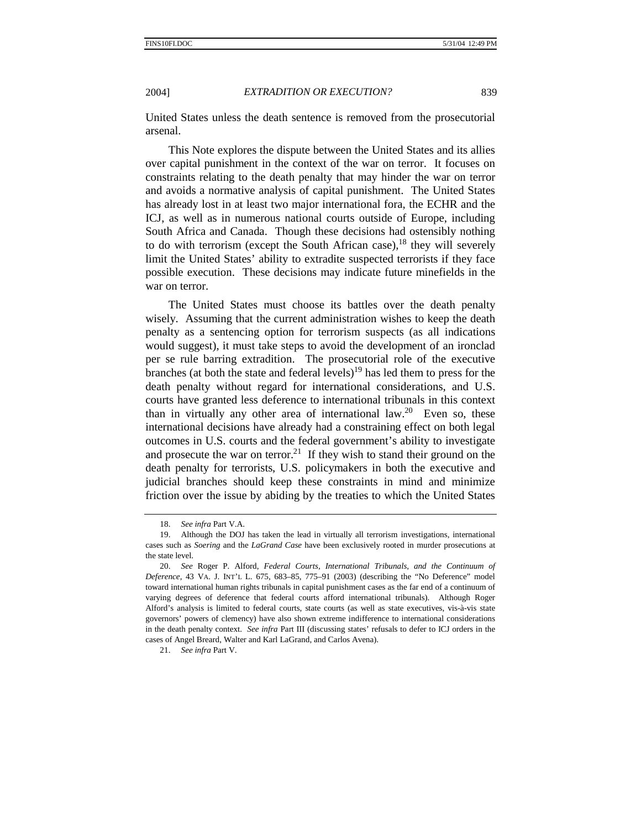United States unless the death sentence is removed from the prosecutorial arsenal.

This Note explores the dispute between the United States and its allies over capital punishment in the context of the war on terror. It focuses on constraints relating to the death penalty that may hinder the war on terror and avoids a normative analysis of capital punishment. The United States has already lost in at least two major international fora, the ECHR and the ICJ, as well as in numerous national courts outside of Europe, including South Africa and Canada. Though these decisions had ostensibly nothing to do with terrorism (except the South African case),  $18$  they will severely limit the United States' ability to extradite suspected terrorists if they face possible execution. These decisions may indicate future minefields in the war on terror.

The United States must choose its battles over the death penalty wisely. Assuming that the current administration wishes to keep the death penalty as a sentencing option for terrorism suspects (as all indications would suggest), it must take steps to avoid the development of an ironclad per se rule barring extradition. The prosecutorial role of the executive branches (at both the state and federal levels)<sup>19</sup> has led them to press for the death penalty without regard for international considerations, and U.S. courts have granted less deference to international tribunals in this context than in virtually any other area of international law.<sup>20</sup> Even so, these international decisions have already had a constraining effect on both legal outcomes in U.S. courts and the federal government's ability to investigate and prosecute the war on terror.<sup>21</sup> If they wish to stand their ground on the death penalty for terrorists, U.S. policymakers in both the executive and judicial branches should keep these constraints in mind and minimize friction over the issue by abiding by the treaties to which the United States

<sup>18.</sup> *See infra* Part V.A.

 <sup>19.</sup> Although the DOJ has taken the lead in virtually all terrorism investigations, international cases such as *Soering* and the *LaGrand Case* have been exclusively rooted in murder prosecutions at the state level.

<sup>20.</sup> *See* Roger P. Alford, *Federal Courts, International Tribunals, and the Continuum of Deference*, 43 VA. J. INT'L L. 675, 683–85, 775–91 (2003) (describing the "No Deference" model toward international human rights tribunals in capital punishment cases as the far end of a continuum of varying degrees of deference that federal courts afford international tribunals). Although Roger Alford's analysis is limited to federal courts, state courts (as well as state executives, vis-à-vis state governors' powers of clemency) have also shown extreme indifference to international considerations in the death penalty context. *See infra* Part III (discussing states' refusals to defer to ICJ orders in the cases of Angel Breard, Walter and Karl LaGrand, and Carlos Avena).

<sup>21.</sup> *See infra* Part V.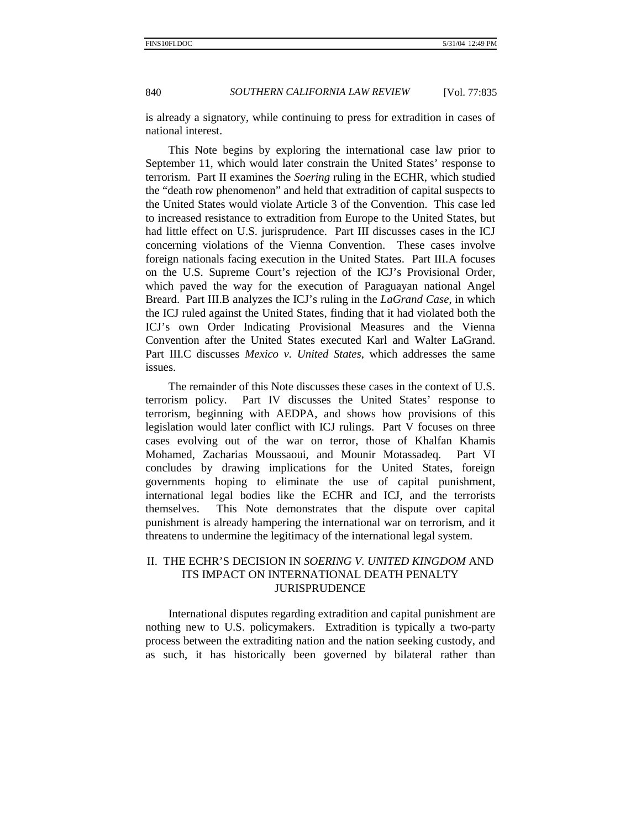is already a signatory, while continuing to press for extradition in cases of national interest.

This Note begins by exploring the international case law prior to September 11, which would later constrain the United States' response to terrorism. Part II examines the *Soering* ruling in the ECHR, which studied the "death row phenomenon" and held that extradition of capital suspects to the United States would violate Article 3 of the Convention. This case led to increased resistance to extradition from Europe to the United States, but had little effect on U.S. jurisprudence. Part III discusses cases in the ICJ concerning violations of the Vienna Convention. These cases involve foreign nationals facing execution in the United States. Part III.A focuses on the U.S. Supreme Court's rejection of the ICJ's Provisional Order, which paved the way for the execution of Paraguayan national Angel Breard. Part III.B analyzes the ICJ's ruling in the *LaGrand Case*, in which the ICJ ruled against the United States, finding that it had violated both the ICJ's own Order Indicating Provisional Measures and the Vienna Convention after the United States executed Karl and Walter LaGrand. Part III.C discusses *Mexico v. United States*, which addresses the same issues.

The remainder of this Note discusses these cases in the context of U.S. terrorism policy. Part IV discusses the United States' response to terrorism, beginning with AEDPA, and shows how provisions of this legislation would later conflict with ICJ rulings. Part V focuses on three cases evolving out of the war on terror, those of Khalfan Khamis Mohamed, Zacharias Moussaoui, and Mounir Motassadeq. Part VI concludes by drawing implications for the United States, foreign governments hoping to eliminate the use of capital punishment, international legal bodies like the ECHR and ICJ, and the terrorists themselves. This Note demonstrates that the dispute over capital punishment is already hampering the international war on terrorism, and it threatens to undermine the legitimacy of the international legal system.

# II. THE ECHR'S DECISION IN *SOERING V. UNITED KINGDOM* AND ITS IMPACT ON INTERNATIONAL DEATH PENALTY JURISPRUDENCE

International disputes regarding extradition and capital punishment are nothing new to U.S. policymakers. Extradition is typically a two-party process between the extraditing nation and the nation seeking custody, and as such, it has historically been governed by bilateral rather than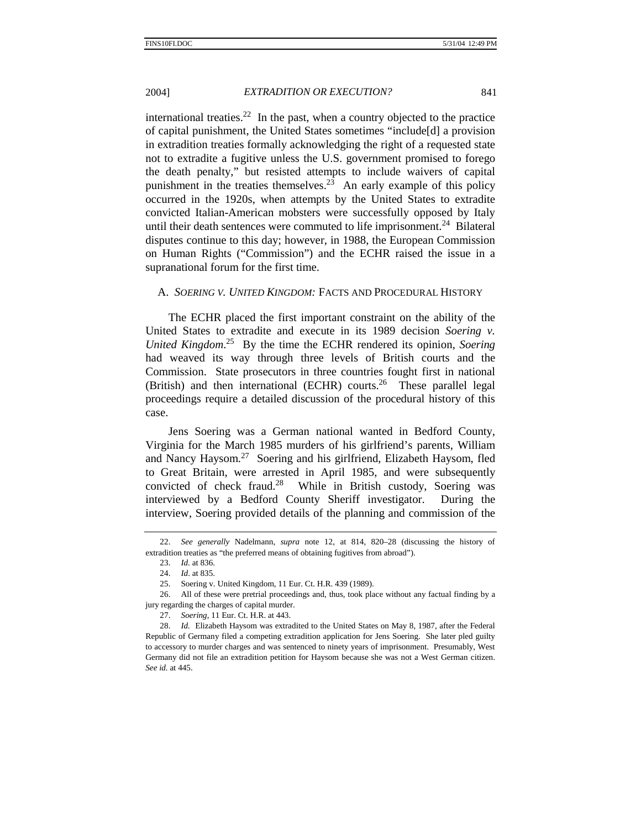international treaties.<sup>22</sup> In the past, when a country objected to the practice of capital punishment, the United States sometimes "include[d] a provision in extradition treaties formally acknowledging the right of a requested state not to extradite a fugitive unless the U.S. government promised to forego the death penalty," but resisted attempts to include waivers of capital punishment in the treaties themselves.<sup>23</sup> An early example of this policy occurred in the 1920s, when attempts by the United States to extradite convicted Italian-American mobsters were successfully opposed by Italy until their death sentences were commuted to life imprisonment.<sup>24</sup> Bilateral disputes continue to this day; however, in 1988, the European Commission on Human Rights ("Commission") and the ECHR raised the issue in a supranational forum for the first time.

### A. *SOERING V. UNITED KINGDOM:* FACTS AND PROCEDURAL HISTORY

The ECHR placed the first important constraint on the ability of the United States to extradite and execute in its 1989 decision *Soering v. United Kingdom*. 25 By the time the ECHR rendered its opinion, *Soering* had weaved its way through three levels of British courts and the Commission. State prosecutors in three countries fought first in national (British) and then international (ECHR) courts.<sup>26</sup> These parallel legal proceedings require a detailed discussion of the procedural history of this case.

Jens Soering was a German national wanted in Bedford County, Virginia for the March 1985 murders of his girlfriend's parents, William and Nancy Haysom.27 Soering and his girlfriend, Elizabeth Haysom, fled to Great Britain, were arrested in April 1985, and were subsequently convicted of check fraud.<sup>28</sup> While in British custody, Soering was interviewed by a Bedford County Sheriff investigator. During the interview, Soering provided details of the planning and commission of the

<sup>22.</sup> *See generally* Nadelmann, *supra* note 12, at 814, 820–28 (discussing the history of extradition treaties as "the preferred means of obtaining fugitives from abroad").

<sup>23.</sup> *Id.* at 836. 24. *Id*. at 835.

 <sup>25.</sup> Soering v. United Kingdom, 11 Eur. Ct. H.R. 439 (1989).

 <sup>26.</sup> All of these were pretrial proceedings and, thus, took place without any factual finding by a jury regarding the charges of capital murder.

<sup>27.</sup> *Soering*, 11 Eur. Ct. H.R. at 443.

<sup>28.</sup> *Id.* Elizabeth Haysom was extradited to the United States on May 8, 1987, after the Federal Republic of Germany filed a competing extradition application for Jens Soering. She later pled guilty to accessory to murder charges and was sentenced to ninety years of imprisonment. Presumably, West Germany did not file an extradition petition for Haysom because she was not a West German citizen. *See id.* at 445.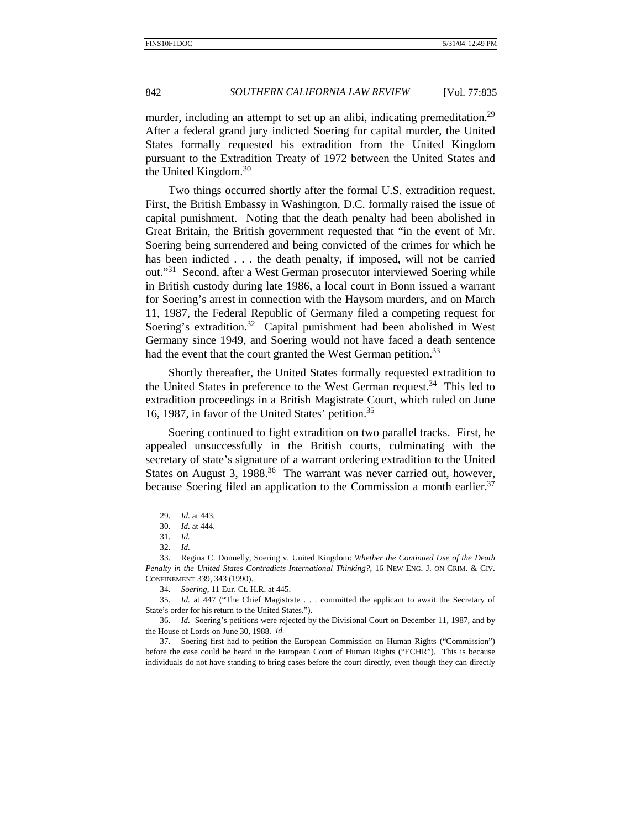murder, including an attempt to set up an alibi, indicating premeditation.<sup>29</sup> After a federal grand jury indicted Soering for capital murder, the United States formally requested his extradition from the United Kingdom pursuant to the Extradition Treaty of 1972 between the United States and the United Kingdom.<sup>30</sup>

Two things occurred shortly after the formal U.S. extradition request. First, the British Embassy in Washington, D.C. formally raised the issue of capital punishment. Noting that the death penalty had been abolished in Great Britain, the British government requested that "in the event of Mr. Soering being surrendered and being convicted of the crimes for which he has been indicted . . . the death penalty, if imposed, will not be carried out."31 Second, after a West German prosecutor interviewed Soering while in British custody during late 1986, a local court in Bonn issued a warrant for Soering's arrest in connection with the Haysom murders, and on March 11, 1987, the Federal Republic of Germany filed a competing request for Soering's extradition.<sup>32</sup> Capital punishment had been abolished in West Germany since 1949, and Soering would not have faced a death sentence had the event that the court granted the West German petition.<sup>33</sup>

Shortly thereafter, the United States formally requested extradition to the United States in preference to the West German request.<sup>34</sup> This led to extradition proceedings in a British Magistrate Court, which ruled on June 16, 1987, in favor of the United States' petition.35

Soering continued to fight extradition on two parallel tracks. First, he appealed unsuccessfully in the British courts, culminating with the secretary of state's signature of a warrant ordering extradition to the United States on August 3, 1988.<sup>36</sup> The warrant was never carried out, however, because Soering filed an application to the Commission a month earlier.<sup>37</sup>

<sup>29.</sup> *Id.* at 443.

<sup>30.</sup> *Id.* at 444.

<sup>31.</sup> *Id.*

<sup>32.</sup> *Id.*

 <sup>33.</sup> Regina C. Donnelly, Soering v. United Kingdom: *Whether the Continued Use of the Death Penalty in the United States Contradicts International Thinking?*, 16 NEW ENG. J. ON CRIM. & CIV. CONFINEMENT 339, 343 (1990).

<sup>34.</sup> *Soering*, 11 Eur. Ct. H.R. at 445.

<sup>35.</sup> *Id.* at 447 ("The Chief Magistrate . . . committed the applicant to await the Secretary of State's order for his return to the United States.").

<sup>36.</sup> *Id.* Soering's petitions were rejected by the Divisional Court on December 11, 1987, and by the House of Lords on June 30, 1988. *Id.*

 <sup>37.</sup> Soering first had to petition the European Commission on Human Rights ("Commission") before the case could be heard in the European Court of Human Rights ("ECHR"). This is because individuals do not have standing to bring cases before the court directly, even though they can directly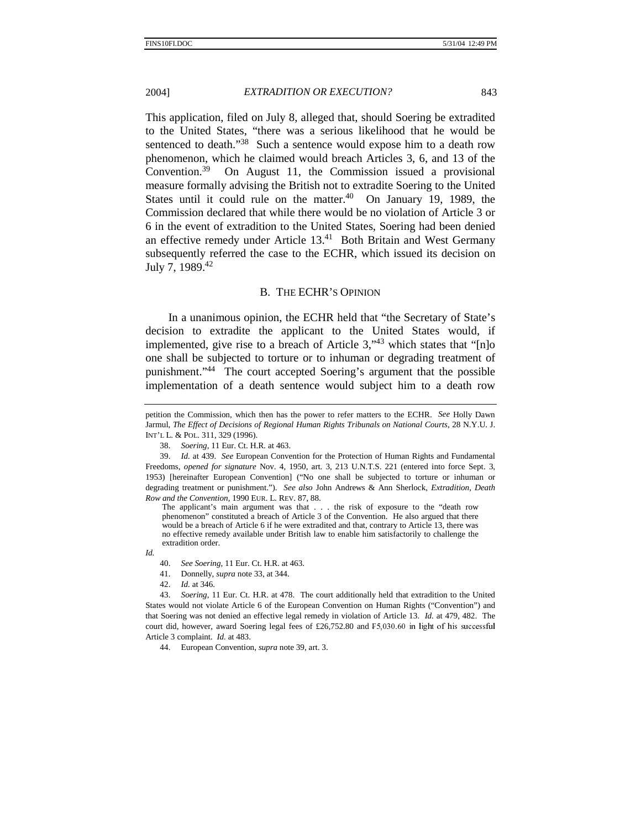This application, filed on July 8, alleged that, should Soering be extradited to the United States, "there was a serious likelihood that he would be sentenced to death."<sup>38</sup> Such a sentence would expose him to a death row phenomenon, which he claimed would breach Articles 3, 6, and 13 of the Convention.39 On August 11, the Commission issued a provisional measure formally advising the British not to extradite Soering to the United States until it could rule on the matter. $40$  On January 19, 1989, the Commission declared that while there would be no violation of Article 3 or 6 in the event of extradition to the United States, Soering had been denied an effective remedy under Article  $13<sup>41</sup>$  Both Britain and West Germany subsequently referred the case to the ECHR, which issued its decision on July 7, 1989.42

### B. THE ECHR'S OPINION

In a unanimous opinion, the ECHR held that "the Secretary of State's decision to extradite the applicant to the United States would, if implemented, give rise to a breach of Article  $3$ ,  $43$  which states that "[n]o one shall be subjected to torture or to inhuman or degrading treatment of punishment."44 The court accepted Soering's argument that the possible implementation of a death sentence would subject him to a death row

The applicant's main argument was that . . . the risk of exposure to the "death row phenomenon" constituted a breach of Article 3 of the Convention. He also argued that there would be a breach of Article 6 if he were extradited and that, contrary to Article 13, there was no effective remedy available under British law to enable him satisfactorily to challenge the extradition order.

*Id.*

41. Donnelly, *supra* note 33, at 344.

44. European Convention, *supra* note 39, art. 3.

petition the Commission, which then has the power to refer matters to the ECHR. *See* Holly Dawn Jarmul, *The Effect of Decisions of Regional Human Rights Tribunals on National Courts*, 28 N.Y.U. J. INT'L L. & POL. 311, 329 (1996).

<sup>38.</sup> *Soering*, 11 Eur. Ct. H.R*.* at 463.

<sup>39.</sup> *Id.* at 439. *See* European Convention for the Protection of Human Rights and Fundamental Freedoms, *opened for signature* Nov. 4, 1950, art. 3, 213 U.N.T.S. 221 (entered into force Sept. 3, 1953) [hereinafter European Convention] ("No one shall be subjected to torture or inhuman or degrading treatment or punishment."). *See also* John Andrews & Ann Sherlock, *Extradition, Death Row and the Convention*, 1990 EUR. L. REV. 87, 88.

<sup>40.</sup> *See Soering*, 11 Eur. Ct. H.R. at 463.

<sup>42.</sup> *Id.* at 346.

<sup>43.</sup> *Soering*, 11 Eur. Ct. H.R. at 478. The court additionally held that extradition to the United States would not violate Article 6 of the European Convention on Human Rights ("Convention") and that Soering was not denied an effective legal remedy in violation of Article 13. *Id.* at 479, 482. The court did, however, award Soering legal fees of £26,752.80 and  $F5,030.60$  in light of his successful Article 3 complaint. *Id.* at 483.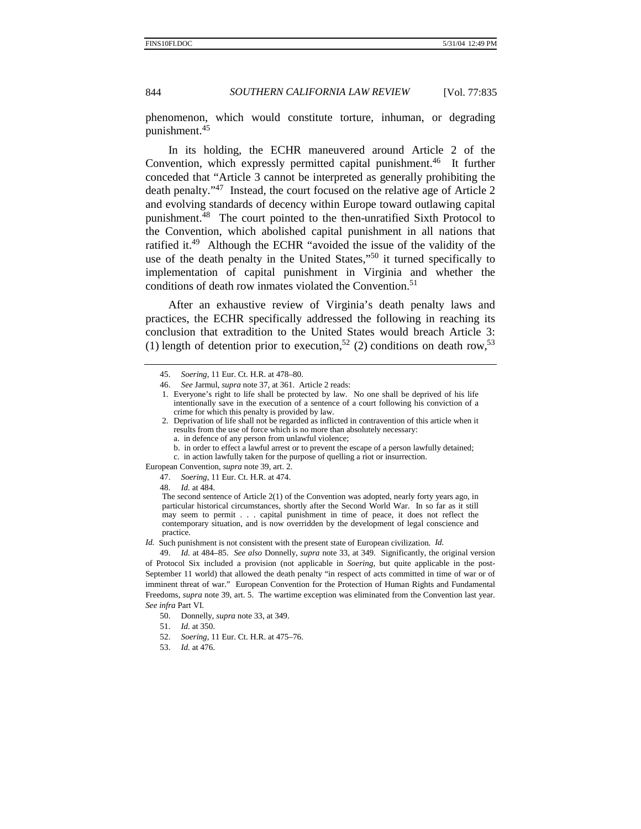phenomenon, which would constitute torture, inhuman, or degrading punishment.<sup>45</sup>

In its holding, the ECHR maneuvered around Article 2 of the Convention, which expressly permitted capital punishment.<sup>46</sup> It further conceded that "Article 3 cannot be interpreted as generally prohibiting the death penalty."47 Instead, the court focused on the relative age of Article 2 and evolving standards of decency within Europe toward outlawing capital punishment.48 The court pointed to the then-unratified Sixth Protocol to the Convention, which abolished capital punishment in all nations that ratified it.49 Although the ECHR "avoided the issue of the validity of the use of the death penalty in the United States,"<sup>50</sup> it turned specifically to implementation of capital punishment in Virginia and whether the conditions of death row inmates violated the Convention.<sup>51</sup>

After an exhaustive review of Virginia's death penalty laws and practices, the ECHR specifically addressed the following in reaching its conclusion that extradition to the United States would breach Article 3: (1) length of detention prior to execution,<sup>52</sup> (2) conditions on death row,<sup>53</sup>

1. Everyone's right to life shall be protected by law. No one shall be deprived of his life intentionally save in the execution of a sentence of a court following his conviction of a crime for which this penalty is provided by law.

- a. in defence of any person from unlawful violence;
- b. in order to effect a lawful arrest or to prevent the escape of a person lawfully detained;
- c. in action lawfully taken for the purpose of quelling a riot or insurrection.

European Convention, *supra* note 39, art. 2.

47. *Soering*, 11 Eur. Ct. H.R. at 474.

48. *Id.* at 484.

The second sentence of Article 2(1) of the Convention was adopted, nearly forty years ago, in particular historical circumstances, shortly after the Second World War. In so far as it still may seem to permit . . . capital punishment in time of peace, it does not reflect the contemporary situation, and is now overridden by the development of legal conscience and practice.

*Id.* Such punishment is not consistent with the present state of European civilization. *Id.* 

49. *Id.* at 484–85. *See also* Donnelly, *supra* note 33, at 349. Significantly, the original version of Protocol Six included a provision (not applicable in *Soering*, but quite applicable in the post-September 11 world) that allowed the death penalty "in respect of acts committed in time of war or of imminent threat of war." European Convention for the Protection of Human Rights and Fundamental Freedoms, *supra* note 39, art. 5. The wartime exception was eliminated from the Convention last year. *See infra* Part VI.

50. Donnelly, *supra* note 33, at 349.

- 52. *Soering*, 11 Eur. Ct. H.R. at 475–76.
- 53. *Id.* at 476.

<sup>45.</sup> *Soering*, 11 Eur. Ct. H.R. at 478–80.

<sup>46.</sup> *See* Jarmul, *supra* note 37, at 361. Article 2 reads:

<sup>2.</sup> Deprivation of life shall not be regarded as inflicted in contravention of this article when it results from the use of force which is no more than absolutely necessary:

<sup>51.</sup> *Id.* at 350.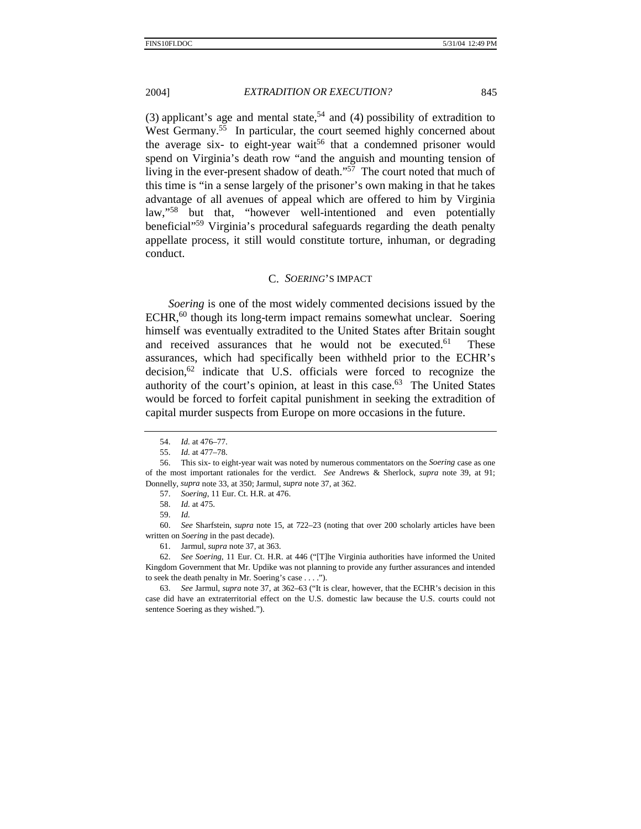(3) applicant's age and mental state,<sup>54</sup> and (4) possibility of extradition to West Germany.<sup>55</sup> In particular, the court seemed highly concerned about the average six- to eight-year wait<sup>56</sup> that a condemned prisoner would spend on Virginia's death row "and the anguish and mounting tension of living in the ever-present shadow of death." $57$  The court noted that much of this time is "in a sense largely of the prisoner's own making in that he takes advantage of all avenues of appeal which are offered to him by Virginia law,"58 but that, "however well-intentioned and even potentially beneficial"59 Virginia's procedural safeguards regarding the death penalty appellate process, it still would constitute torture, inhuman, or degrading conduct.

### C. *SOERING*'S IMPACT

*Soering* is one of the most widely commented decisions issued by the  $ECHR<sub>1</sub><sup>60</sup>$  though its long-term impact remains somewhat unclear. Soering himself was eventually extradited to the United States after Britain sought and received assurances that he would not be executed.<sup>61</sup> These assurances, which had specifically been withheld prior to the ECHR's  $decision<sub>1</sub><sup>62</sup>$  indicate that U.S. officials were forced to recognize the authority of the court's opinion, at least in this case. $63$  The United States would be forced to forfeit capital punishment in seeking the extradition of capital murder suspects from Europe on more occasions in the future.

 60. *See* Sharfstein, *supra* note 15, at 722–23 (noting that over 200 scholarly articles have been written on *Soering* in the past decade).

61. Jarmul, *supra* note 37, at 363.

62. *See Soering*, 11 Eur. Ct. H.R. at 446 ("[T]he Virginia authorities have informed the United Kingdom Government that Mr. Updike was not planning to provide any further assurances and intended to seek the death penalty in Mr. Soering's case . . . .").

63. *See* Jarmul, *supra* note 37, at 362–63 ("It is clear, however, that the ECHR's decision in this case did have an extraterritorial effect on the U.S. domestic law because the U.S. courts could not sentence Soering as they wished.").

<sup>54.</sup> *Id.* at 476–77.

<sup>55.</sup> *Id.* at 477–78.

 <sup>56.</sup> This six- to eight-year wait was noted by numerous commentators on the *Soering* case as one of the most important rationales for the verdict. *See* Andrews & Sherlock, *supra* note 39, at 91; Donnelly, *supra* note 33, at 350; Jarmul, *supra* note 37, at 362.

<sup>57.</sup> *Soering*, 11 Eur. Ct. H.R. at 476.

<sup>58.</sup> *Id.* at 475.

<sup>59.</sup> *Id.*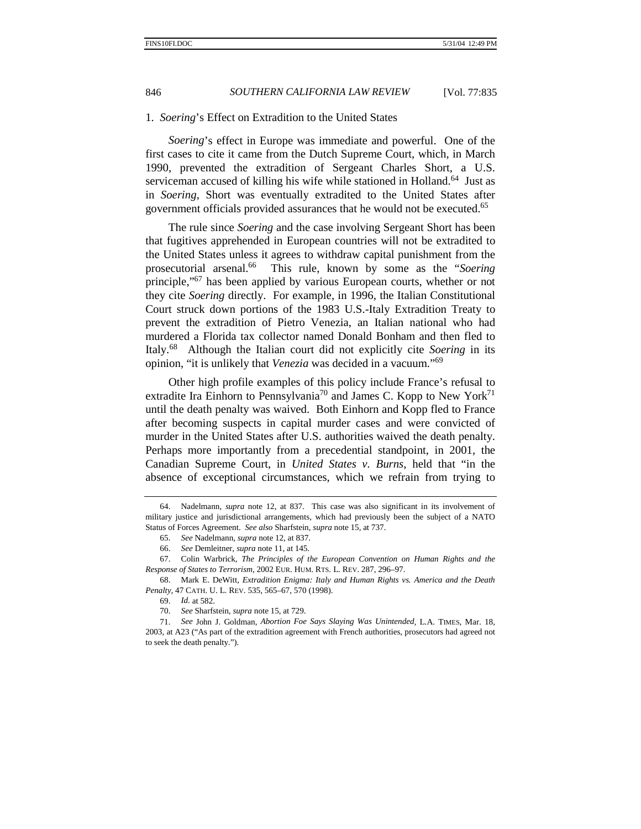### 1. *Soering*'s Effect on Extradition to the United States

*Soering*'s effect in Europe was immediate and powerful. One of the first cases to cite it came from the Dutch Supreme Court, which, in March 1990, prevented the extradition of Sergeant Charles Short, a U.S. serviceman accused of killing his wife while stationed in Holland.<sup>64</sup> Just as in *Soering*, Short was eventually extradited to the United States after government officials provided assurances that he would not be executed.65

The rule since *Soering* and the case involving Sergeant Short has been that fugitives apprehended in European countries will not be extradited to the United States unless it agrees to withdraw capital punishment from the prosecutorial arsenal.66 This rule, known by some as the "*Soering* principle,"67 has been applied by various European courts, whether or not they cite *Soering* directly. For example, in 1996, the Italian Constitutional Court struck down portions of the 1983 U.S.-Italy Extradition Treaty to prevent the extradition of Pietro Venezia, an Italian national who had murdered a Florida tax collector named Donald Bonham and then fled to Italy.68 Although the Italian court did not explicitly cite *Soering* in its opinion, "it is unlikely that *Venezia* was decided in a vacuum."<sup>69</sup>

Other high profile examples of this policy include France's refusal to extradite Ira Einhorn to Pennsylvania<sup>70</sup> and James C. Kopp to New York<sup>71</sup> until the death penalty was waived. Both Einhorn and Kopp fled to France after becoming suspects in capital murder cases and were convicted of murder in the United States after U.S. authorities waived the death penalty. Perhaps more importantly from a precedential standpoint, in 2001, the Canadian Supreme Court, in *United States v. Burns*, held that "in the absence of exceptional circumstances, which we refrain from trying to

 <sup>64.</sup> Nadelmann, *supra* note 12, at 837. This case was also significant in its involvement of military justice and jurisdictional arrangements, which had previously been the subject of a NATO Status of Forces Agreement. *See also* Sharfstein, *supra* note 15, at 737.

<sup>65.</sup> *See* Nadelmann, *supra* note 12, at 837.

 <sup>66.</sup> *See* Demleitner, *supra* note 11, at 145.

 <sup>67.</sup> Colin Warbrick, *The Principles of the European Convention on Human Rights and the Response of States to Terrorism*, 2002 EUR. HUM. RTS. L. REV. 287, 296–97.

 <sup>68.</sup> Mark E. DeWitt, *Extradition Enigma: Italy and Human Rights vs. America and the Death Penalty*, 47 CATH. U. L. REV. 535, 565–67, 570 (1998).

<sup>69.</sup> *Id.* at 582.

<sup>70.</sup> *See* Sharfstein, *supra* note 15, at 729.

<sup>71.</sup> *See* John J. Goldman, *Abortion Foe Says Slaying Was Unintended*, L.A. TIMES, Mar. 18, 2003, at A23 ("As part of the extradition agreement with French authorities, prosecutors had agreed not to seek the death penalty.").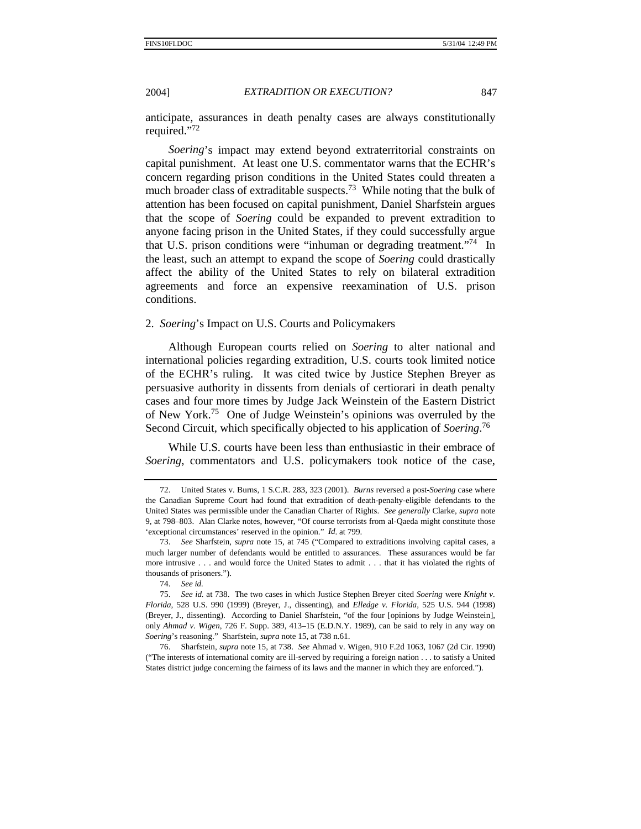anticipate, assurances in death penalty cases are always constitutionally required."<sup>72</sup>

*Soering*'s impact may extend beyond extraterritorial constraints on capital punishment. At least one U.S. commentator warns that the ECHR's concern regarding prison conditions in the United States could threaten a much broader class of extraditable suspects.<sup>73</sup> While noting that the bulk of attention has been focused on capital punishment, Daniel Sharfstein argues that the scope of *Soering* could be expanded to prevent extradition to anyone facing prison in the United States, if they could successfully argue that U.S. prison conditions were "inhuman or degrading treatment."74 In the least, such an attempt to expand the scope of *Soering* could drastically affect the ability of the United States to rely on bilateral extradition agreements and force an expensive reexamination of U.S. prison conditions.

### 2. *Soering*'s Impact on U.S. Courts and Policymakers

Although European courts relied on *Soering* to alter national and international policies regarding extradition, U.S. courts took limited notice of the ECHR's ruling. It was cited twice by Justice Stephen Breyer as persuasive authority in dissents from denials of certiorari in death penalty cases and four more times by Judge Jack Weinstein of the Eastern District of New York.75 One of Judge Weinstein's opinions was overruled by the Second Circuit, which specifically objected to his application of *Soering*. 76

While U.S. courts have been less than enthusiastic in their embrace of *Soering*, commentators and U.S. policymakers took notice of the case,

 <sup>72.</sup> United States v. Burns, 1 S.C.R. 283, 323 (2001). *Burns* reversed a post-*Soering* case where the Canadian Supreme Court had found that extradition of death-penalty-eligible defendants to the United States was permissible under the Canadian Charter of Rights. *See generally* Clarke, *supra* note 9, at 798–803. Alan Clarke notes, however, "Of course terrorists from al-Qaeda might constitute those 'exceptional circumstances' reserved in the opinion." *Id*. at 799.

<sup>73.</sup> *See* Sharfstein, *supra* note 15, at 745 ("Compared to extraditions involving capital cases, a much larger number of defendants would be entitled to assurances. These assurances would be far more intrusive . . . and would force the United States to admit . . . that it has violated the rights of thousands of prisoners.").

<sup>74.</sup> *See id.*

<sup>75.</sup> *See id.* at 738. The two cases in which Justice Stephen Breyer cited *Soering* were *Knight v. Florida*, 528 U.S. 990 (1999) (Breyer, J., dissenting), and *Elledge v. Florida*, 525 U.S. 944 (1998) (Breyer, J., dissenting). According to Daniel Sharfstein, "of the four [opinions by Judge Weinstein], only *Ahmad v. Wigen*, 726 F. Supp. 389, 413–15 (E.D.N.Y. 1989), can be said to rely in any way on *Soering*'s reasoning." Sharfstein, *supra* note 15, at 738 n.61.

 <sup>76.</sup> Sharfstein, *supra* note 15, at 738. *See* Ahmad v. Wigen, 910 F.2d 1063, 1067 (2d Cir. 1990) ("The interests of international comity are ill-served by requiring a foreign nation . . . to satisfy a United States district judge concerning the fairness of its laws and the manner in which they are enforced.").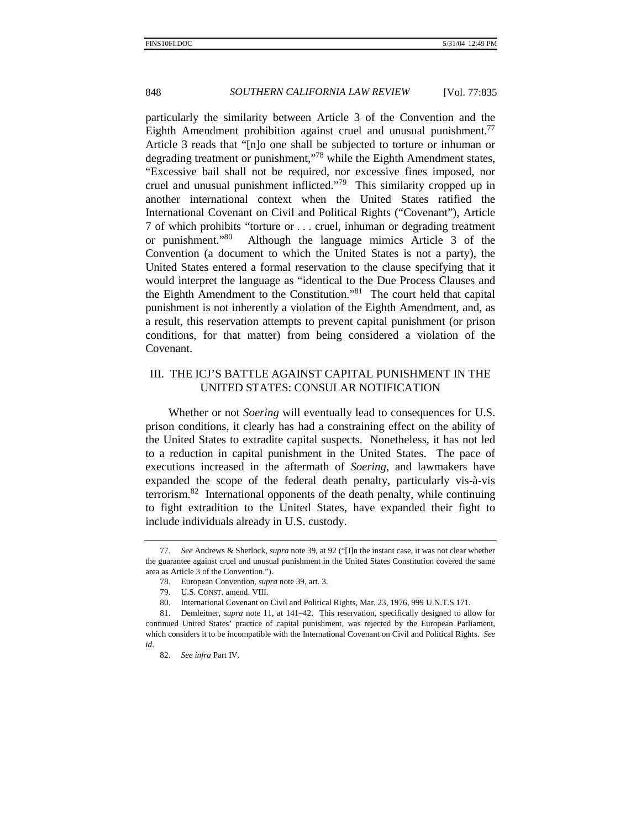particularly the similarity between Article 3 of the Convention and the Eighth Amendment prohibition against cruel and unusual punishment.<sup>77</sup> Article 3 reads that "[n]o one shall be subjected to torture or inhuman or degrading treatment or punishment,"<sup>78</sup> while the Eighth Amendment states, "Excessive bail shall not be required, nor excessive fines imposed, nor cruel and unusual punishment inflicted."79 This similarity cropped up in another international context when the United States ratified the International Covenant on Civil and Political Rights ("Covenant"), Article 7 of which prohibits "torture or . . . cruel, inhuman or degrading treatment or punishment."80 Although the language mimics Article 3 of the Convention (a document to which the United States is not a party), the United States entered a formal reservation to the clause specifying that it would interpret the language as "identical to the Due Process Clauses and the Eighth Amendment to the Constitution."81 The court held that capital punishment is not inherently a violation of the Eighth Amendment, and, as a result, this reservation attempts to prevent capital punishment (or prison conditions, for that matter) from being considered a violation of the Covenant.

# III. THE ICJ'S BATTLE AGAINST CAPITAL PUNISHMENT IN THE UNITED STATES: CONSULAR NOTIFICATION

Whether or not *Soering* will eventually lead to consequences for U.S. prison conditions, it clearly has had a constraining effect on the ability of the United States to extradite capital suspects. Nonetheless, it has not led to a reduction in capital punishment in the United States. The pace of executions increased in the aftermath of *Soering*, and lawmakers have expanded the scope of the federal death penalty, particularly vis-à-vis terrorism. $82$  International opponents of the death penalty, while continuing to fight extradition to the United States, have expanded their fight to include individuals already in U.S. custody.

<sup>77.</sup> *See* Andrews & Sherlock, *supra* note 39, at 92 ("[I]n the instant case, it was not clear whether the guarantee against cruel and unusual punishment in the United States Constitution covered the same area as Article 3 of the Convention.").

 <sup>78.</sup> European Convention, *supra* note 39, art. 3.

 <sup>79.</sup> U.S. CONST. amend. VIII.

 <sup>80.</sup> International Covenant on Civil and Political Rights, Mar. 23, 1976, 999 U.N.T.S 171.

 <sup>81.</sup> Demleitner, *supra* note 11, at 141–42. This reservation, specifically designed to allow for continued United States' practice of capital punishment, was rejected by the European Parliament, which considers it to be incompatible with the International Covenant on Civil and Political Rights. *See id*.

<sup>82.</sup> *See infra* Part IV.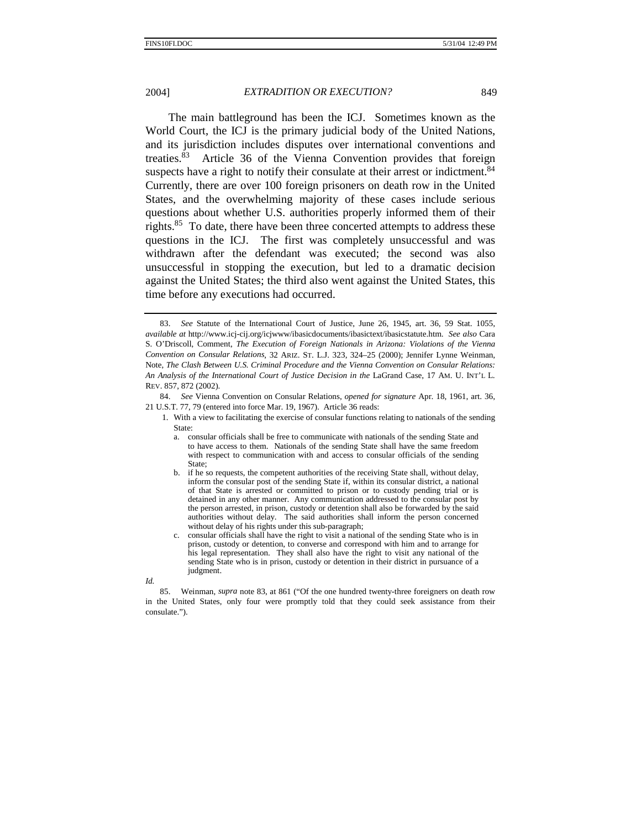The main battleground has been the ICJ. Sometimes known as the World Court, the ICJ is the primary judicial body of the United Nations, and its jurisdiction includes disputes over international conventions and treaties.83 Article 36 of the Vienna Convention provides that foreign suspects have a right to notify their consulate at their arrest or indictment.<sup>84</sup> Currently, there are over 100 foreign prisoners on death row in the United States, and the overwhelming majority of these cases include serious questions about whether U.S. authorities properly informed them of their rights.<sup>85</sup> To date, there have been three concerted attempts to address these questions in the ICJ. The first was completely unsuccessful and was withdrawn after the defendant was executed; the second was also unsuccessful in stopping the execution, but led to a dramatic decision against the United States; the third also went against the United States, this time before any executions had occurred.

84. *See* Vienna Convention on Consular Relations, *opened for signature* Apr. 18, 1961, art. 36, 21 U.S.T. 77, 79 (entered into force Mar. 19, 1967). Article 36 reads:

<sup>83.</sup> *See* Statute of the International Court of Justice, June 26, 1945, art. 36, 59 Stat. 1055, *available at* http://www.icj-cij.org/icjwww/ibasicdocuments/ibasictext/ibasicstatute.htm. *See also* Cara S. O'Driscoll, Comment, *The Execution of Foreign Nationals in Arizona: Violations of the Vienna Convention on Consular Relations*, 32 ARIZ. ST. L.J. 323, 324–25 (2000); Jennifer Lynne Weinman, Note, *The Clash Between U.S. Criminal Procedure and the Vienna Convention on Consular Relations: An Analysis of the International Court of Justice Decision in the* LaGrand Case, 17 AM. U. INT'L L. REV. 857, 872 (2002).

<sup>1.</sup> With a view to facilitating the exercise of consular functions relating to nationals of the sending State:

a. consular officials shall be free to communicate with nationals of the sending State and to have access to them. Nationals of the sending State shall have the same freedom with respect to communication with and access to consular officials of the sending State;

b. if he so requests, the competent authorities of the receiving State shall, without delay, inform the consular post of the sending State if, within its consular district, a national of that State is arrested or committed to prison or to custody pending trial or is detained in any other manner. Any communication addressed to the consular post by the person arrested, in prison, custody or detention shall also be forwarded by the said authorities without delay. The said authorities shall inform the person concerned without delay of his rights under this sub-paragraph;

c. consular officials shall have the right to visit a national of the sending State who is in prison, custody or detention, to converse and correspond with him and to arrange for his legal representation. They shall also have the right to visit any national of the sending State who is in prison, custody or detention in their district in pursuance of a judgment.

*Id.*

 <sup>85.</sup> Weinman, *supra* note 83, at 861 ("Of the one hundred twenty-three foreigners on death row in the United States, only four were promptly told that they could seek assistance from their consulate.").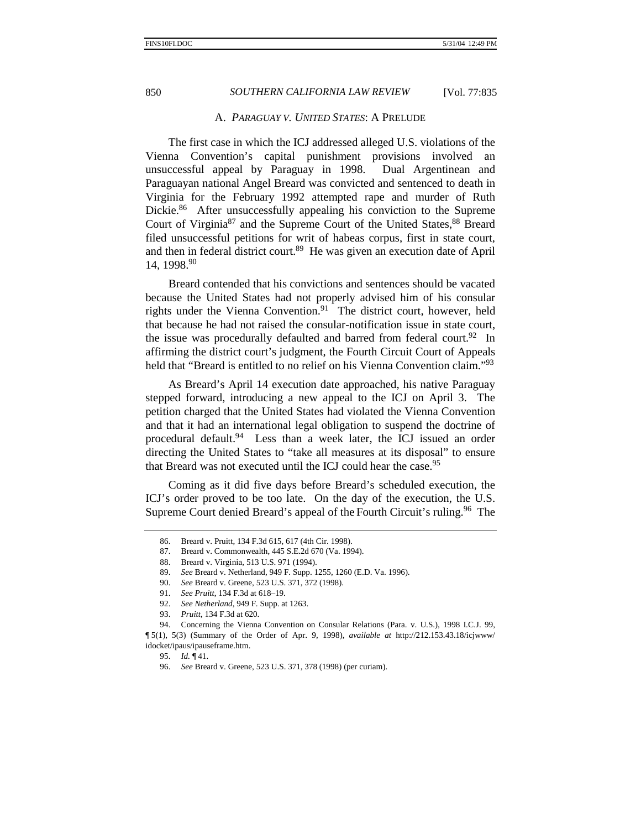### A. *PARAGUAY V. UNITED STATES*: A PRELUDE

The first case in which the ICJ addressed alleged U.S. violations of the Vienna Convention's capital punishment provisions involved an unsuccessful appeal by Paraguay in 1998. Dual Argentinean and Paraguayan national Angel Breard was convicted and sentenced to death in Virginia for the February 1992 attempted rape and murder of Ruth Dickie.<sup>86</sup> After unsuccessfully appealing his conviction to the Supreme Court of Virginia $87$  and the Supreme Court of the United States,  $88$  Breard filed unsuccessful petitions for writ of habeas corpus, first in state court, and then in federal district court.<sup>89</sup> He was given an execution date of April 14, 1998.90

Breard contended that his convictions and sentences should be vacated because the United States had not properly advised him of his consular rights under the Vienna Convention.<sup>91</sup> The district court, however, held that because he had not raised the consular-notification issue in state court, the issue was procedurally defaulted and barred from federal court.<sup>92</sup> In affirming the district court's judgment, the Fourth Circuit Court of Appeals held that "Breard is entitled to no relief on his Vienna Convention claim."<sup>93</sup>

As Breard's April 14 execution date approached, his native Paraguay stepped forward, introducing a new appeal to the ICJ on April 3. The petition charged that the United States had violated the Vienna Convention and that it had an international legal obligation to suspend the doctrine of procedural default.<sup>94</sup> Less than a week later, the ICJ issued an order directing the United States to "take all measures at its disposal" to ensure that Breard was not executed until the ICJ could hear the case.<sup>95</sup>

Coming as it did five days before Breard's scheduled execution, the ICJ's order proved to be too late. On the day of the execution, the U.S. Supreme Court denied Breard's appeal of the Fourth Circuit's ruling.<sup>96</sup> The

 <sup>86.</sup> Breard v. Pruitt, 134 F.3d 615, 617 (4th Cir. 1998).

<sup>87.</sup> Breard v. Commonwealth, 445 S.E.2d 670 (Va. 1994).

<sup>88.</sup> Breard v. Virginia, 513 U.S. 971 (1994).

<sup>89.</sup> *See* Breard v. Netherland, 949 F. Supp. 1255, 1260 (E.D. Va. 1996).

<sup>90.</sup> *See* Breard v. Greene, 523 U.S. 371, 372 (1998).

<sup>91.</sup> *See Pruitt*, 134 F.3d at 618–19.

<sup>92.</sup> *See Netherland*, 949 F. Supp. at 1263.

<sup>93.</sup> *Pruitt*, 134 F.3d at 620.

 <sup>94.</sup> Concerning the Vienna Convention on Consular Relations (Para. v. U.S.), 1998 I.C.J. 99, ¶ 5(1), 5(3) (Summary of the Order of Apr. 9, 1998), *available at* http://212.153.43.18/icjwww/ idocket/ipaus/ipauseframe.htm.

<sup>95.</sup> *Id.* ¶ 41.

<sup>96.</sup> *See* Breard v. Greene, 523 U.S. 371, 378 (1998) (per curiam).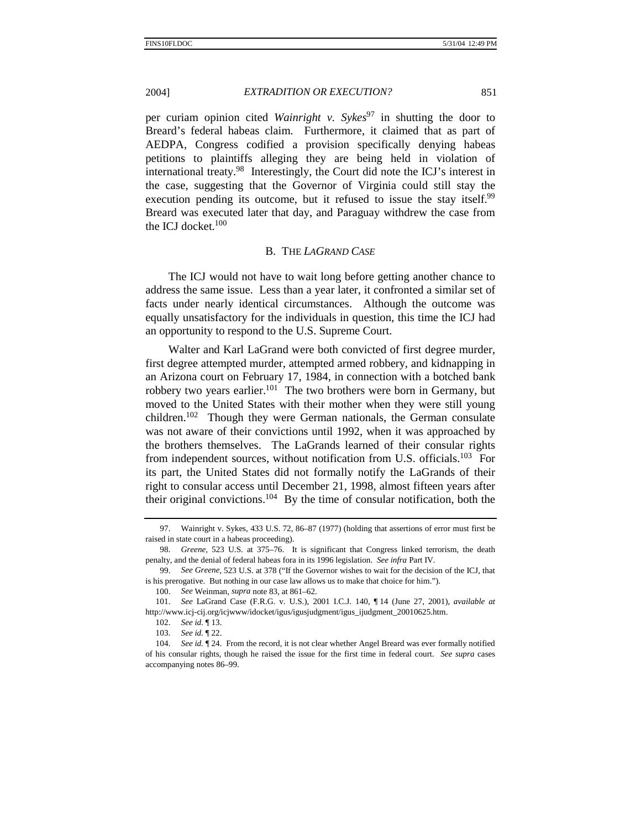per curiam opinion cited *Wainright v. Sykes*<sup>97</sup> in shutting the door to Breard's federal habeas claim. Furthermore, it claimed that as part of AEDPA, Congress codified a provision specifically denying habeas petitions to plaintiffs alleging they are being held in violation of international treaty.98 Interestingly, the Court did note the ICJ's interest in the case, suggesting that the Governor of Virginia could still stay the execution pending its outcome, but it refused to issue the stay itself.<sup>99</sup> Breard was executed later that day, and Paraguay withdrew the case from the ICJ docket. $100$ 

### B. THE *LAGRAND CASE*

The ICJ would not have to wait long before getting another chance to address the same issue. Less than a year later, it confronted a similar set of facts under nearly identical circumstances. Although the outcome was equally unsatisfactory for the individuals in question, this time the ICJ had an opportunity to respond to the U.S. Supreme Court.

Walter and Karl LaGrand were both convicted of first degree murder, first degree attempted murder, attempted armed robbery, and kidnapping in an Arizona court on February 17, 1984, in connection with a botched bank robbery two years earlier.<sup>101</sup> The two brothers were born in Germany, but moved to the United States with their mother when they were still young children.<sup>102</sup> Though they were German nationals, the German consulate was not aware of their convictions until 1992, when it was approached by the brothers themselves. The LaGrands learned of their consular rights from independent sources, without notification from U.S. officials.<sup>103</sup> For its part, the United States did not formally notify the LaGrands of their right to consular access until December 21, 1998, almost fifteen years after their original convictions.<sup>104</sup> By the time of consular notification, both the

 <sup>97.</sup> Wainright v. Sykes, 433 U.S. 72, 86–87 (1977) (holding that assertions of error must first be raised in state court in a habeas proceeding).

<sup>98.</sup> *Greene*, 523 U.S. at 375–76. It is significant that Congress linked terrorism, the death penalty, and the denial of federal habeas fora in its 1996 legislation. *See infra* Part IV.

<sup>99.</sup> *See Greene*, 523 U.S. at 378 ("If the Governor wishes to wait for the decision of the ICJ, that is his prerogative. But nothing in our case law allows us to make that choice for him.").

<sup>100.</sup> *See* Weinman, *supra* note 83, at 861–62.

<sup>101.</sup> *See* LaGrand Case (F.R.G. v. U.S.), 2001 I.C.J. 140, ¶ 14 (June 27, 2001), *available at* http://www.icj-cij.org/icjwww/idocket/igus/igusjudgment/igus\_ijudgment\_20010625.htm.

<sup>102.</sup> *See id.* ¶ 13.

<sup>103.</sup> *See id.* ¶ 22.

<sup>104.</sup> *See id.* ¶ 24. From the record, it is not clear whether Angel Breard was ever formally notified of his consular rights, though he raised the issue for the first time in federal court. *See supra* cases accompanying notes 86–99.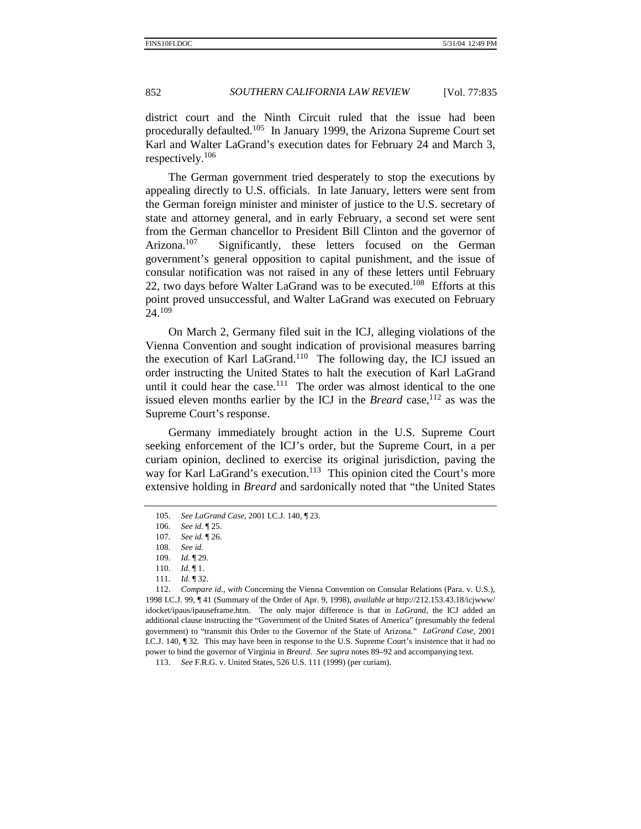district court and the Ninth Circuit ruled that the issue had been procedurally defaulted.105 In January 1999, the Arizona Supreme Court set Karl and Walter LaGrand's execution dates for February 24 and March 3, respectively.<sup>106</sup>

The German government tried desperately to stop the executions by appealing directly to U.S. officials. In late January, letters were sent from the German foreign minister and minister of justice to the U.S. secretary of state and attorney general, and in early February, a second set were sent from the German chancellor to President Bill Clinton and the governor of Arizona.<sup>107</sup> Significantly, these letters focused on the German government's general opposition to capital punishment, and the issue of consular notification was not raised in any of these letters until February 22, two days before Walter LaGrand was to be executed.<sup>108</sup> Efforts at this point proved unsuccessful, and Walter LaGrand was executed on February 24.<sup>109</sup>

On March 2, Germany filed suit in the ICJ, alleging violations of the Vienna Convention and sought indication of provisional measures barring the execution of Karl LaGrand.<sup>110</sup> The following day, the ICJ issued an order instructing the United States to halt the execution of Karl LaGrand until it could hear the case.<sup>111</sup> The order was almost identical to the one issued eleven months earlier by the ICJ in the *Breard* case, <sup>112</sup> as was the Supreme Court's response.

Germany immediately brought action in the U.S. Supreme Court seeking enforcement of the ICJ's order, but the Supreme Court, in a per curiam opinion, declined to exercise its original jurisdiction, paving the way for Karl LaGrand's execution.<sup>113</sup> This opinion cited the Court's more extensive holding in *Breard* and sardonically noted that "the United States

<sup>105.</sup> *See LaGrand Case*, 2001 I.C.J. 140, ¶ 23.

<sup>106.</sup> *See id.* ¶ 25.

<sup>107.</sup> *See id.* ¶ 26.

<sup>108.</sup> *See id.*

<sup>109.</sup> *Id.* ¶ 29.

<sup>110.</sup> *Id.* ¶ 1.

<sup>111.</sup> *Id.* ¶ 32.

<sup>112.</sup> *Compare id*., *with* Concerning the Vienna Convention on Consular Relations (Para. v. U.S.), 1998 I.C.J. 99, ¶ 41 (Summary of the Order of Apr. 9, 1998), *available at* http://212.153.43.18/icjwww/ idocket/ipaus/ipauseframe.htm. The only major difference is that in *LaGrand*, the ICJ added an additional clause instructing the "Government of the United States of America" (presumably the federal government) to "transmit this Order to the Governor of the State of Arizona." *LaGrand Case*, 2001 I.C.J. 140, ¶ 32*.* This may have been in response to the U.S. Supreme Court's insistence that it had no power to bind the governor of Virginia in *Breard*. *See supra* notes 89–92 and accompanying text.

<sup>113.</sup> *See* F.R.G. v. United States, 526 U.S. 111 (1999) (per curiam).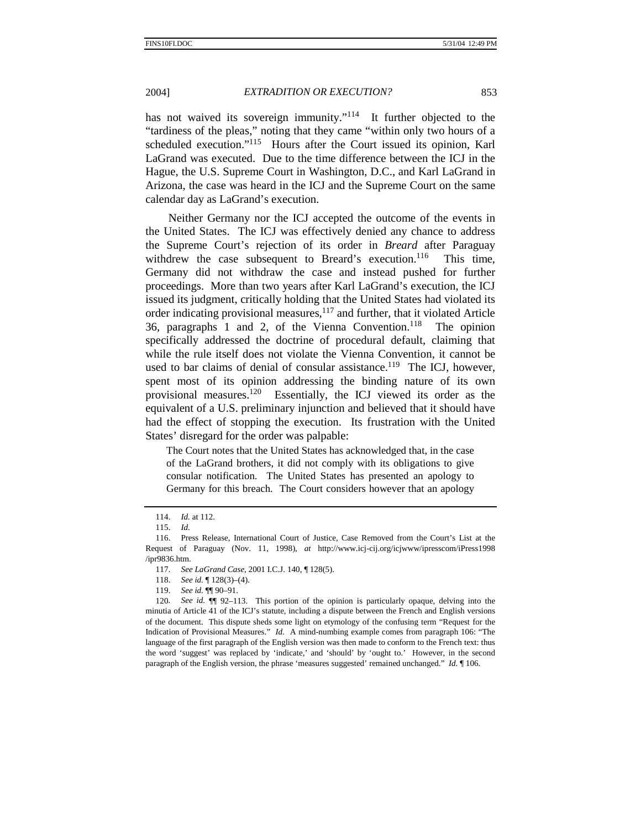has not waived its sovereign immunity." $114$  It further objected to the "tardiness of the pleas," noting that they came "within only two hours of a scheduled execution."<sup>115</sup> Hours after the Court issued its opinion, Karl LaGrand was executed. Due to the time difference between the ICJ in the Hague, the U.S. Supreme Court in Washington, D.C., and Karl LaGrand in Arizona, the case was heard in the ICJ and the Supreme Court on the same calendar day as LaGrand's execution.

Neither Germany nor the ICJ accepted the outcome of the events in the United States. The ICJ was effectively denied any chance to address the Supreme Court's rejection of its order in *Breard* after Paraguay withdrew the case subsequent to Breard's execution.<sup>116</sup> This time, Germany did not withdraw the case and instead pushed for further proceedings. More than two years after Karl LaGrand's execution, the ICJ issued its judgment, critically holding that the United States had violated its order indicating provisional measures, $117$  and further, that it violated Article 36, paragraphs 1 and 2, of the Vienna Convention.<sup>118</sup> The opinion specifically addressed the doctrine of procedural default, claiming that while the rule itself does not violate the Vienna Convention, it cannot be used to bar claims of denial of consular assistance.<sup>119</sup> The ICJ, however, spent most of its opinion addressing the binding nature of its own provisional measures.<sup>120</sup> Essentially, the ICJ viewed its order as the equivalent of a U.S. preliminary injunction and believed that it should have had the effect of stopping the execution. Its frustration with the United States' disregard for the order was palpable:

The Court notes that the United States has acknowledged that, in the case of the LaGrand brothers, it did not comply with its obligations to give consular notification. The United States has presented an apology to Germany for this breach. The Court considers however that an apology

<sup>114.</sup> *Id.* at 112.

<sup>115.</sup> *Id.*

 <sup>116.</sup> Press Release, International Court of Justice, Case Removed from the Court's List at the Request of Paraguay (Nov. 11, 1998), *at* http://www.icj-cij.org/icjwww/ipresscom/iPress1998 /ipr9836.htm.

<sup>117.</sup> *See LaGrand Case*, 2001 I.C.J. 140, ¶ 128(5).

<sup>118.</sup> *See id.* ¶ 128(3)–(4).

<sup>119.</sup> *See id.* ¶¶ 90–91.

<sup>120</sup>*. See id.* ¶¶ 92–113. This portion of the opinion is particularly opaque, delving into the minutia of Article 41 of the ICJ's statute, including a dispute between the French and English versions of the document. This dispute sheds some light on etymology of the confusing term "Request for the Indication of Provisional Measures." *Id.* A mind-numbing example comes from paragraph 106: "The language of the first paragraph of the English version was then made to conform to the French text: thus the word 'suggest' was replaced by 'indicate,' and 'should' by 'ought to.' However, in the second paragraph of the English version, the phrase 'measures suggested' remained unchanged." *Id.* ¶ 106.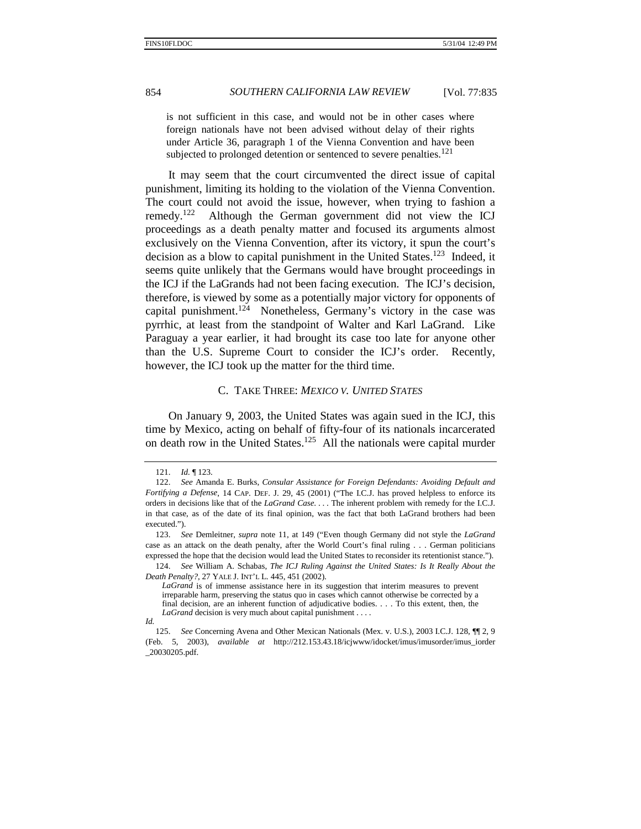is not sufficient in this case, and would not be in other cases where foreign nationals have not been advised without delay of their rights under Article 36, paragraph 1 of the Vienna Convention and have been subjected to prolonged detention or sentenced to severe penalties.<sup>121</sup>

It may seem that the court circumvented the direct issue of capital punishment, limiting its holding to the violation of the Vienna Convention. The court could not avoid the issue, however, when trying to fashion a remedy.122 Although the German government did not view the ICJ proceedings as a death penalty matter and focused its arguments almost exclusively on the Vienna Convention, after its victory, it spun the court's decision as a blow to capital punishment in the United States.<sup>123</sup> Indeed, it seems quite unlikely that the Germans would have brought proceedings in the ICJ if the LaGrands had not been facing execution. The ICJ's decision, therefore, is viewed by some as a potentially major victory for opponents of capital punishment.<sup>124</sup> Nonetheless, Germany's victory in the case was pyrrhic, at least from the standpoint of Walter and Karl LaGrand. Like Paraguay a year earlier, it had brought its case too late for anyone other than the U.S. Supreme Court to consider the ICJ's order. Recently, however, the ICJ took up the matter for the third time.

### C. TAKE THREE: *MEXICO V. UNITED STATES*

On January 9, 2003, the United States was again sued in the ICJ, this time by Mexico, acting on behalf of fifty-four of its nationals incarcerated on death row in the United States.<sup>125</sup> All the nationals were capital murder

<sup>121.</sup> *Id.* ¶ 123.

<sup>122.</sup> *See* Amanda E. Burks, *Consular Assistance for Foreign Defendants: Avoiding Default and Fortifying a Defense*, 14 CAP. DEF. J. 29, 45 (2001) ("The I.C.J. has proved helpless to enforce its orders in decisions like that of the *LaGrand Case*. . . . The inherent problem with remedy for the I.C.J. in that case, as of the date of its final opinion, was the fact that both LaGrand brothers had been executed.").

<sup>123.</sup> *See* Demleitner, *supra* note 11, at 149 ("Even though Germany did not style the *LaGrand* case as an attack on the death penalty, after the World Court's final ruling . . . German politicians expressed the hope that the decision would lead the United States to reconsider its retentionist stance.").

<sup>124.</sup> *See* William A. Schabas, *The ICJ Ruling Against the United States: Is It Really About the Death Penalty?*, 27 YALE J. INT'L L. 445, 451 (2002).

*LaGrand* is of immense assistance here in its suggestion that interim measures to prevent irreparable harm, preserving the status quo in cases which cannot otherwise be corrected by a final decision, are an inherent function of adjudicative bodies. . . . To this extent, then, the *LaGrand* decision is very much about capital punishment . . . .

*Id.*

<sup>125.</sup> *See* Concerning Avena and Other Mexican Nationals (Mex. v. U.S.), 2003 I.C.J. 128, ¶¶ 2, 9 (Feb. 5, 2003), *available at* http://212.153.43.18/icjwww/idocket/imus/imusorder/imus\_iorder \_20030205.pdf.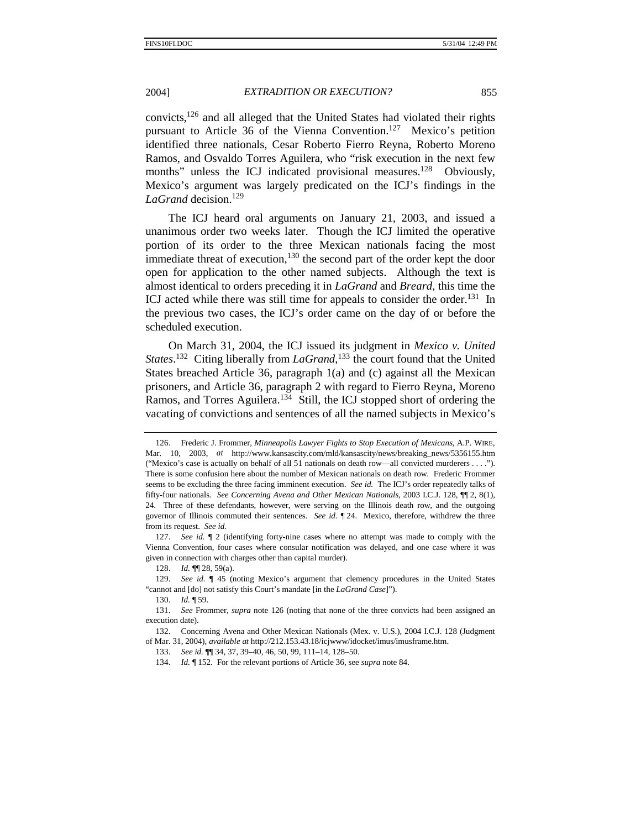convicts,126 and all alleged that the United States had violated their rights pursuant to Article 36 of the Vienna Convention.<sup>127</sup> Mexico's petition identified three nationals, Cesar Roberto Fierro Reyna, Roberto Moreno Ramos, and Osvaldo Torres Aguilera, who "risk execution in the next few months" unless the ICJ indicated provisional measures.<sup>128</sup> Obviously, Mexico's argument was largely predicated on the ICJ's findings in the LaGrand decision.<sup>129</sup>

The ICJ heard oral arguments on January 21, 2003, and issued a unanimous order two weeks later. Though the ICJ limited the operative portion of its order to the three Mexican nationals facing the most immediate threat of execution,<sup>130</sup> the second part of the order kept the door open for application to the other named subjects. Although the text is almost identical to orders preceding it in *LaGrand* and *Breard*, this time the ICJ acted while there was still time for appeals to consider the order.<sup>131</sup> In the previous two cases, the ICJ's order came on the day of or before the scheduled execution.

On March 31, 2004, the ICJ issued its judgment in *Mexico v. United States*. 132 Citing liberally from *LaGrand*, 133 the court found that the United States breached Article 36, paragraph 1(a) and (c) against all the Mexican prisoners, and Article 36, paragraph 2 with regard to Fierro Reyna, Moreno Ramos, and Torres Aguilera. $134$  Still, the ICJ stopped short of ordering the vacating of convictions and sentences of all the named subjects in Mexico's

 <sup>126.</sup> Frederic J. Frommer, *Minneapolis Lawyer Fights to Stop Execution of Mexicans*, A.P. WIRE, Mar. 10, 2003, *at* http://www.kansascity.com/mld/kansascity/news/breaking\_news/5356155.htm ("Mexico's case is actually on behalf of all 51 nationals on death row—all convicted murderers . . . ."). There is some confusion here about the number of Mexican nationals on death row. Frederic Frommer seems to be excluding the three facing imminent execution. *See id.* The ICJ's order repeatedly talks of fifty-four nationals. *See Concerning Avena and Other Mexican Nationals*, 2003 I.C.J. 128, ¶¶ 2, 8(1), 24. Three of these defendants, however, were serving on the Illinois death row, and the outgoing governor of Illinois commuted their sentences. *See id.* ¶ 24. Mexico, therefore, withdrew the three from its request. *See id.*

<sup>127.</sup> *See id.* ¶ 2 (identifying forty-nine cases where no attempt was made to comply with the Vienna Convention, four cases where consular notification was delayed, and one case where it was given in connection with charges other than capital murder).

<sup>128.</sup> *Id.* ¶¶ 28, 59(a).

<sup>129.</sup> *See id.* ¶ 45 (noting Mexico's argument that clemency procedures in the United States "cannot and [do] not satisfy this Court's mandate [in the *LaGrand Case*]").

<sup>130.</sup> *Id.* ¶ 59.

<sup>131.</sup> *See* Frommer, *supra* note 126 (noting that none of the three convicts had been assigned an execution date).

 <sup>132.</sup> Concerning Avena and Other Mexican Nationals (Mex. v. U.S.), 2004 I.C.J. 128 (Judgment of Mar. 31, 2004), *available at* http://212.153.43.18/icjwww/idocket/imus/imusframe.htm.

<sup>133.</sup> *See id.* ¶¶ 34, 37, 39–40, 46, 50, 99, 111–14, 128–50.

<sup>134.</sup> *Id.* ¶ 152. For the relevant portions of Article 36, see *supra* note 84.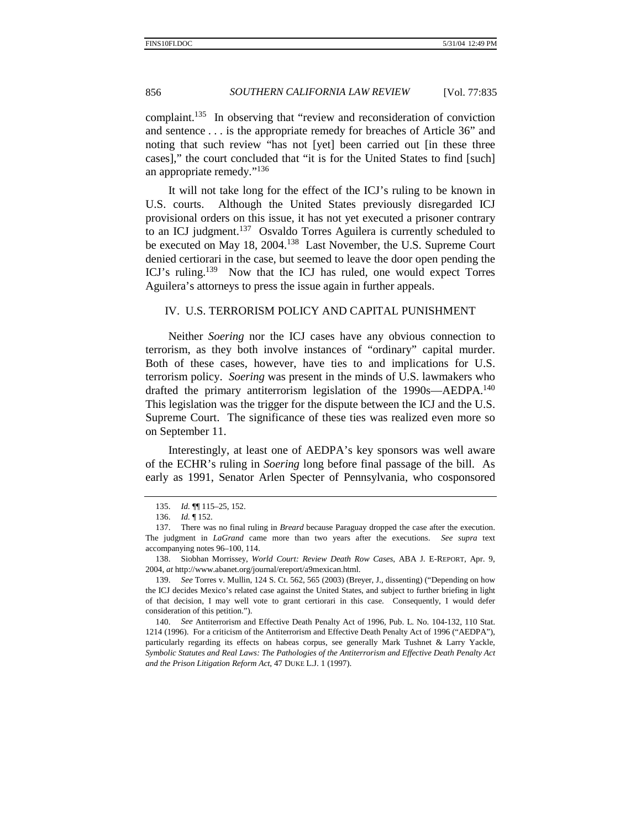complaint.135 In observing that "review and reconsideration of conviction and sentence . . . is the appropriate remedy for breaches of Article 36" and noting that such review "has not [yet] been carried out [in these three cases]," the court concluded that "it is for the United States to find [such] an appropriate remedy."<sup>136</sup>

It will not take long for the effect of the ICJ's ruling to be known in U.S. courts. Although the United States previously disregarded ICJ provisional orders on this issue, it has not yet executed a prisoner contrary to an ICJ judgment.<sup>137</sup> Osvaldo Torres Aguilera is currently scheduled to be executed on May 18, 2004.<sup>138</sup> Last November, the U.S. Supreme Court denied certiorari in the case, but seemed to leave the door open pending the ICJ's ruling.<sup>139</sup> Now that the ICJ has ruled, one would expect Torres Aguilera's attorneys to press the issue again in further appeals.

# IV. U.S. TERRORISM POLICY AND CAPITAL PUNISHMENT

Neither *Soering* nor the ICJ cases have any obvious connection to terrorism, as they both involve instances of "ordinary" capital murder. Both of these cases, however, have ties to and implications for U.S. terrorism policy. *Soering* was present in the minds of U.S. lawmakers who drafted the primary antiterrorism legislation of the 1990s—AEDPA.<sup>140</sup> This legislation was the trigger for the dispute between the ICJ and the U.S. Supreme Court. The significance of these ties was realized even more so on September 11.

Interestingly, at least one of AEDPA's key sponsors was well aware of the ECHR's ruling in *Soering* long before final passage of the bill. As early as 1991, Senator Arlen Specter of Pennsylvania, who cosponsored

<sup>135.</sup> *Id.* ¶¶ 115–25, 152.

<sup>136.</sup> *Id.* ¶ 152.

 <sup>137.</sup> There was no final ruling in *Breard* because Paraguay dropped the case after the execution. The judgment in *LaGrand* came more than two years after the executions. *See supra* text accompanying notes 96–100, 114.

 <sup>138.</sup> Siobhan Morrissey, *World Court: Review Death Row Cases*, ABA J. E-REPORT, Apr. 9, 2004, *at* http://www.abanet.org/journal/ereport/a9mexican.html.

 <sup>139.</sup> *See* Torres v. Mullin, 124 S. Ct. 562, 565 (2003) (Breyer, J., dissenting) ("Depending on how the ICJ decides Mexico's related case against the United States, and subject to further briefing in light of that decision, I may well vote to grant certiorari in this case. Consequently, I would defer consideration of this petition.").

<sup>140.</sup> *See* Antiterrorism and Effective Death Penalty Act of 1996, Pub. L. No. 104-132, 110 Stat. 1214 (1996). For a criticism of the Antiterrorism and Effective Death Penalty Act of 1996 ("AEDPA"), particularly regarding its effects on habeas corpus, see generally Mark Tushnet & Larry Yackle, *Symbolic Statutes and Real Laws: The Pathologies of the Antiterrorism and Effective Death Penalty Act and the Prison Litigation Reform Act*, 47 DUKE L.J. 1 (1997).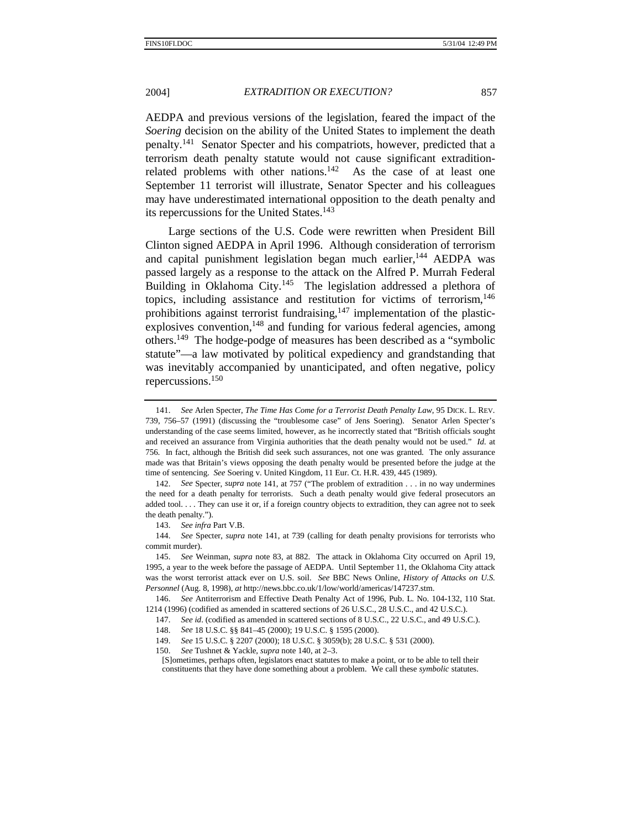AEDPA and previous versions of the legislation, feared the impact of the *Soering* decision on the ability of the United States to implement the death penalty.141 Senator Specter and his compatriots, however, predicted that a terrorism death penalty statute would not cause significant extraditionrelated problems with other nations.<sup>142</sup> As the case of at least one September 11 terrorist will illustrate, Senator Specter and his colleagues may have underestimated international opposition to the death penalty and its repercussions for the United States.<sup>143</sup>

Large sections of the U.S. Code were rewritten when President Bill Clinton signed AEDPA in April 1996. Although consideration of terrorism and capital punishment legislation began much earlier,<sup>144</sup> AEDPA was passed largely as a response to the attack on the Alfred P. Murrah Federal Building in Oklahoma City.<sup>145</sup> The legislation addressed a plethora of topics, including assistance and restitution for victims of terrorism, $146$ prohibitions against terrorist fundraising, $147$  implementation of the plasticexplosives convention, $148$  and funding for various federal agencies, among others.149 The hodge-podge of measures has been described as a "symbolic statute"—a law motivated by political expediency and grandstanding that was inevitably accompanied by unanticipated, and often negative, policy repercussions.150

144. *See* Specter, *supra* note 141, at 739 (calling for death penalty provisions for terrorists who commit murder).

146. *See* Antiterrorism and Effective Death Penalty Act of 1996, Pub. L. No. 104-132, 110 Stat. 1214 (1996) (codified as amended in scattered sections of 26 U.S.C., 28 U.S.C., and 42 U.S.C.).

<sup>141.</sup> *See* Arlen Specter, *The Time Has Come for a Terrorist Death Penalty Law*, 95 DICK. L. REV. 739, 756–57 (1991) (discussing the "troublesome case" of Jens Soering). Senator Arlen Specter's understanding of the case seems limited, however, as he incorrectly stated that "British officials sought and received an assurance from Virginia authorities that the death penalty would not be used." *Id.* at 756*.* In fact, although the British did seek such assurances, not one was granted. The only assurance made was that Britain's views opposing the death penalty would be presented before the judge at the time of sentencing. *See* Soering v. United Kingdom, 11 Eur. Ct. H.R. 439, 445 (1989).

<sup>142.</sup> *See* Specter, *supra* note 141, at 757 ("The problem of extradition . . . in no way undermines the need for a death penalty for terrorists. Such a death penalty would give federal prosecutors an added tool. . . . They can use it or, if a foreign country objects to extradition, they can agree not to seek the death penalty.").

<sup>143.</sup> *See infra* Part V.B.

<sup>145.</sup> *See* Weinman, *supra* note 83, at 882. The attack in Oklahoma City occurred on April 19, 1995, a year to the week before the passage of AEDPA. Until September 11, the Oklahoma City attack was the worst terrorist attack ever on U.S. soil. *See* BBC News Online, *History of Attacks on U.S. Personnel* (Aug. 8, 1998), *at* http://news.bbc.co.uk/1/low/world/americas/147237.stm.

<sup>147.</sup> *See id*. (codified as amended in scattered sections of 8 U.S.C., 22 U.S.C., and 49 U.S.C.).

<sup>148.</sup> *See* 18 U.S.C. §§ 841–45 (2000); 19 U.S.C. § 1595 (2000).

<sup>149.</sup> *See* 15 U.S.C. § 2207 (2000); 18 U.S.C. § 3059(b); 28 U.S.C. § 531 (2000).

<sup>150.</sup> *See* Tushnet & Yackle, *supra* note 140, at 2–3.

<sup>[</sup>S]ometimes, perhaps often, legislators enact statutes to make a point, or to be able to tell their constituents that they have done something about a problem. We call these *symbolic* statutes.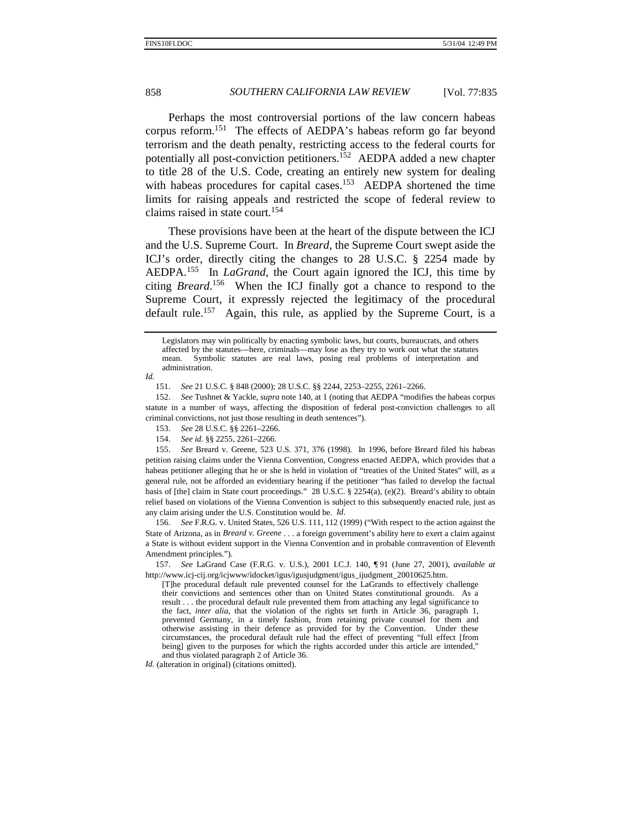Perhaps the most controversial portions of the law concern habeas corpus reform.151 The effects of AEDPA's habeas reform go far beyond terrorism and the death penalty, restricting access to the federal courts for potentially all post-conviction petitioners.<sup>152</sup> AEDPA added a new chapter to title 28 of the U.S. Code, creating an entirely new system for dealing with habeas procedures for capital cases.<sup>153</sup> AEDPA shortened the time limits for raising appeals and restricted the scope of federal review to claims raised in state court.<sup>154</sup>

These provisions have been at the heart of the dispute between the ICJ and the U.S. Supreme Court. In *Breard*, the Supreme Court swept aside the ICJ's order, directly citing the changes to 28 U.S.C. § 2254 made by AEDPA.155 In *LaGrand*, the Court again ignored the ICJ, this time by citing *Breard*. 156 When the ICJ finally got a chance to respond to the Supreme Court, it expressly rejected the legitimacy of the procedural default rule.<sup>157</sup> Again, this rule, as applied by the Supreme Court, is a

*Id.* 

151. *See* 21 U.S.C. § 848 (2000); 28 U.S.C. §§ 2244, 2253–2255, 2261–2266.

152. *See* Tushnet & Yackle, *supra* note 140, at 1 (noting that AEDPA "modifies the habeas corpus statute in a number of ways, affecting the disposition of federal post-conviction challenges to all criminal convictions, not just those resulting in death sentences").

153. *See* 28 U.S.C. §§ 2261–2266.

154. *See id.* §§ 2255, 2261–2266.

155. *See* Breard v. Greene, 523 U.S. 371, 376 (1998). In 1996, before Breard filed his habeas petition raising claims under the Vienna Convention, Congress enacted AEDPA, which provides that a habeas petitioner alleging that he or she is held in violation of "treaties of the United States" will, as a general rule, not be afforded an evidentiary hearing if the petitioner "has failed to develop the factual basis of [the] claim in State court proceedings." 28 U.S.C. § 2254(a), (e)(2). Breard's ability to obtain relief based on violations of the Vienna Convention is subject to this subsequently enacted rule, just as any claim arising under the U.S. Constitution would be. *Id.* 

 156. *See* F.R.G. v. United States, 526 U.S. 111, 112 (1999) ("With respect to the action against the State of Arizona, as in *Breard v. Greene* . . . a foreign government's ability here to exert a claim against a State is without evident support in the Vienna Convention and in probable contravention of Eleventh Amendment principles.").

157. *See* LaGrand Case (F.R.G. v. U.S.), 2001 I.C.J. 140, ¶ 91 (June 27, 2001), *available at* http://www.icj-cij.org/icjwww/idocket/igus/igusjudgment/igus\_ijudgment\_20010625.htm.

[T]he procedural default rule prevented counsel for the LaGrands to effectively challenge their convictions and sentences other than on United States constitutional grounds. As a result . . . the procedural default rule prevented them from attaching any legal significance to the fact, *inter alia*, that the violation of the rights set forth in Article 36, paragraph 1, prevented Germany, in a timely fashion, from retaining private counsel for them and otherwise assisting in their defence as provided for by the Convention. Under these circumstances, the procedural default rule had the effect of preventing "full effect [from being] given to the purposes for which the rights accorded under this article are intended," and thus violated paragraph 2 of Article 36.

*Id.* (alteration in original) (citations omitted).

Legislators may win politically by enacting symbolic laws, but courts, bureaucrats, and others affected by the statutes—here, criminals—may lose as they try to work out what the statutes mean. Symbolic statutes are real laws, posing real problems of interpretation and administration.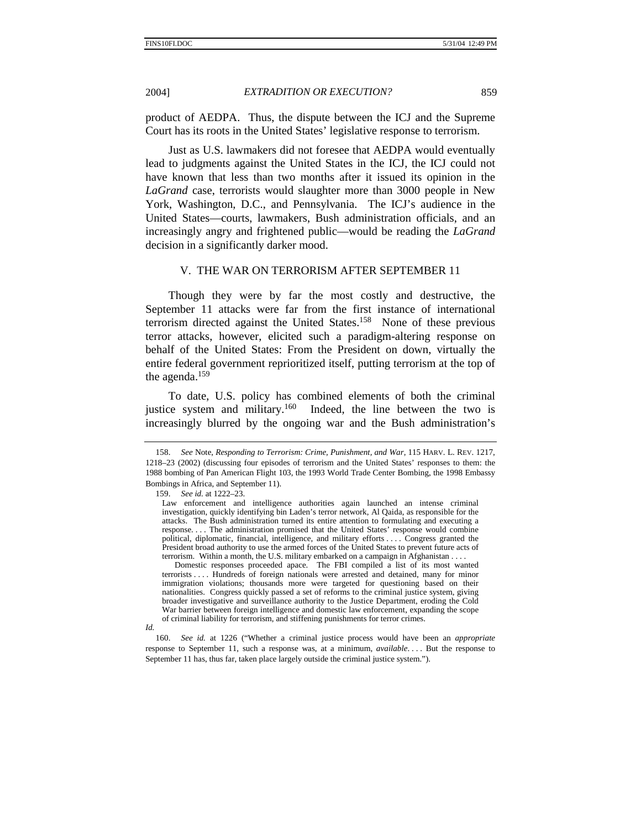product of AEDPA. Thus, the dispute between the ICJ and the Supreme Court has its roots in the United States' legislative response to terrorism.

Just as U.S. lawmakers did not foresee that AEDPA would eventually lead to judgments against the United States in the ICJ, the ICJ could not have known that less than two months after it issued its opinion in the *LaGrand* case, terrorists would slaughter more than 3000 people in New York, Washington, D.C., and Pennsylvania. The ICJ's audience in the United States—courts, lawmakers, Bush administration officials, and an increasingly angry and frightened public—would be reading the *LaGrand* decision in a significantly darker mood.

### V. THE WAR ON TERRORISM AFTER SEPTEMBER 11

Though they were by far the most costly and destructive, the September 11 attacks were far from the first instance of international terrorism directed against the United States.<sup>158</sup> None of these previous terror attacks, however, elicited such a paradigm-altering response on behalf of the United States: From the President on down, virtually the entire federal government reprioritized itself, putting terrorism at the top of the agenda.159

To date, U.S. policy has combined elements of both the criminal justice system and military.<sup>160</sup> Indeed, the line between the two is increasingly blurred by the ongoing war and the Bush administration's

<sup>158.</sup> *See* Note, *Responding to Terrorism: Crime, Punishment, and War*, 115 HARV. L. REV. 1217, 1218–23 (2002) (discussing four episodes of terrorism and the United States' responses to them: the 1988 bombing of Pan American Flight 103, the 1993 World Trade Center Bombing, the 1998 Embassy Bombings in Africa, and September 11).

<sup>159.</sup> *See id.* at 1222–23.

Law enforcement and intelligence authorities again launched an intense criminal investigation, quickly identifying bin Laden's terror network, Al Qaida, as responsible for the attacks. The Bush administration turned its entire attention to formulating and executing a response. . . . The administration promised that the United States' response would combine political, diplomatic, financial, intelligence, and military efforts . . . . Congress granted the President broad authority to use the armed forces of the United States to prevent future acts of terrorism. Within a month, the U.S. military embarked on a campaign in Afghanistan . . . .

Domestic responses proceeded apace. The FBI compiled a list of its most wanted terrorists . . . . Hundreds of foreign nationals were arrested and detained, many for minor immigration violations; thousands more were targeted for questioning based on their nationalities. Congress quickly passed a set of reforms to the criminal justice system, giving broader investigative and surveillance authority to the Justice Department, eroding the Cold War barrier between foreign intelligence and domestic law enforcement, expanding the scope of criminal liability for terrorism, and stiffening punishments for terror crimes.

*Id.*

<sup>160.</sup> *See id.* at 1226 ("Whether a criminal justice process would have been an *appropriate*  response to September 11, such a response was, at a minimum, *available*. . . . But the response to September 11 has, thus far, taken place largely outside the criminal justice system.").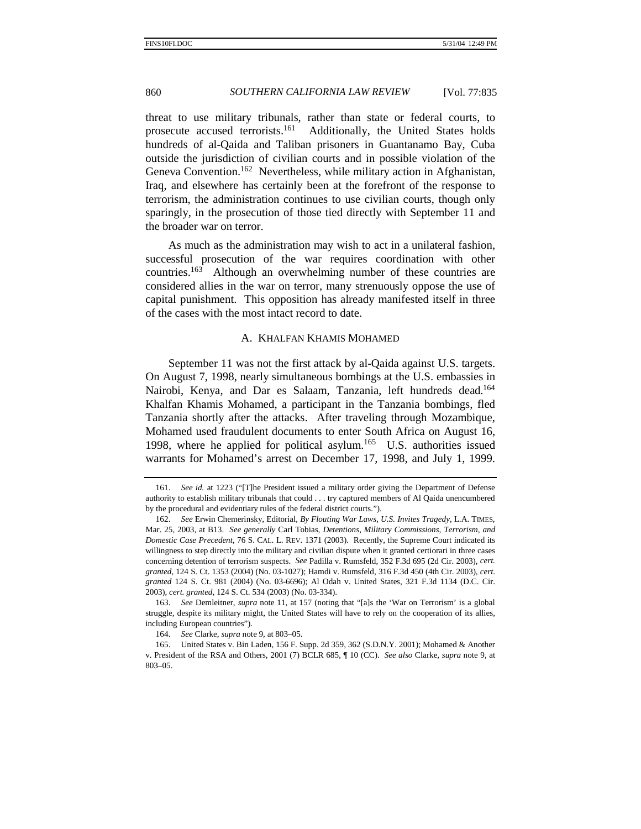threat to use military tribunals, rather than state or federal courts, to prosecute accused terrorists.<sup>161</sup> Additionally, the United States holds hundreds of al-Qaida and Taliban prisoners in Guantanamo Bay, Cuba outside the jurisdiction of civilian courts and in possible violation of the Geneva Convention.<sup>162</sup> Nevertheless, while military action in Afghanistan, Iraq, and elsewhere has certainly been at the forefront of the response to terrorism, the administration continues to use civilian courts, though only sparingly, in the prosecution of those tied directly with September 11 and the broader war on terror.

As much as the administration may wish to act in a unilateral fashion, successful prosecution of the war requires coordination with other countries.<sup>163</sup> Although an overwhelming number of these countries are considered allies in the war on terror, many strenuously oppose the use of capital punishment. This opposition has already manifested itself in three of the cases with the most intact record to date.

### A. KHALFAN KHAMIS MOHAMED

September 11 was not the first attack by al-Qaida against U.S. targets. On August 7, 1998, nearly simultaneous bombings at the U.S. embassies in Nairobi, Kenya, and Dar es Salaam, Tanzania, left hundreds dead.<sup>164</sup> Khalfan Khamis Mohamed, a participant in the Tanzania bombings, fled Tanzania shortly after the attacks. After traveling through Mozambique, Mohamed used fraudulent documents to enter South Africa on August 16, 1998, where he applied for political asylum.<sup>165</sup> U.S. authorities issued warrants for Mohamed's arrest on December 17, 1998, and July 1, 1999.

<sup>161.</sup> *See id.* at 1223 ("[T]he President issued a military order giving the Department of Defense authority to establish military tribunals that could . . . try captured members of Al Qaida unencumbered by the procedural and evidentiary rules of the federal district courts.").

<sup>162.</sup> *See* Erwin Chemerinsky, Editorial, *By Flouting War Laws, U.S. Invites Tragedy*, L.A. TIMES, Mar. 25, 2003, at B13. *See generally* Carl Tobias, *Detentions, Military Commissions, Terrorism, and Domestic Case Precedent*, 76 S. CAL. L. REV. 1371 (2003). Recently, the Supreme Court indicated its willingness to step directly into the military and civilian dispute when it granted certiorari in three cases concerning detention of terrorism suspects. *See* Padilla v. Rumsfeld, 352 F.3d 695 (2d Cir. 2003), *cert. granted*, 124 S. Ct. 1353 (2004) (No. 03-1027); Hamdi v. Rumsfeld, 316 F.3d 450 (4th Cir. 2003), *cert. granted* 124 S. Ct. 981 (2004) (No. 03-6696); Al Odah v. United States, 321 F.3d 1134 (D.C. Cir. 2003), *cert. granted*, 124 S. Ct. 534 (2003) (No. 03-334).

<sup>163.</sup> *See* Demleitner, *supra* note 11, at 157 (noting that "[a]s the 'War on Terrorism' is a global struggle, despite its military might, the United States will have to rely on the cooperation of its allies, including European countries").

<sup>164.</sup> *See* Clarke, *supra* note 9, at 803–05.

 <sup>165.</sup> United States v. Bin Laden, 156 F. Supp. 2d 359, 362 (S.D.N.Y. 2001); Mohamed & Another v. President of the RSA and Others, 2001 (7) BCLR 685, ¶ 10 (CC). *See also* Clarke, *supra* note 9, at 803–05.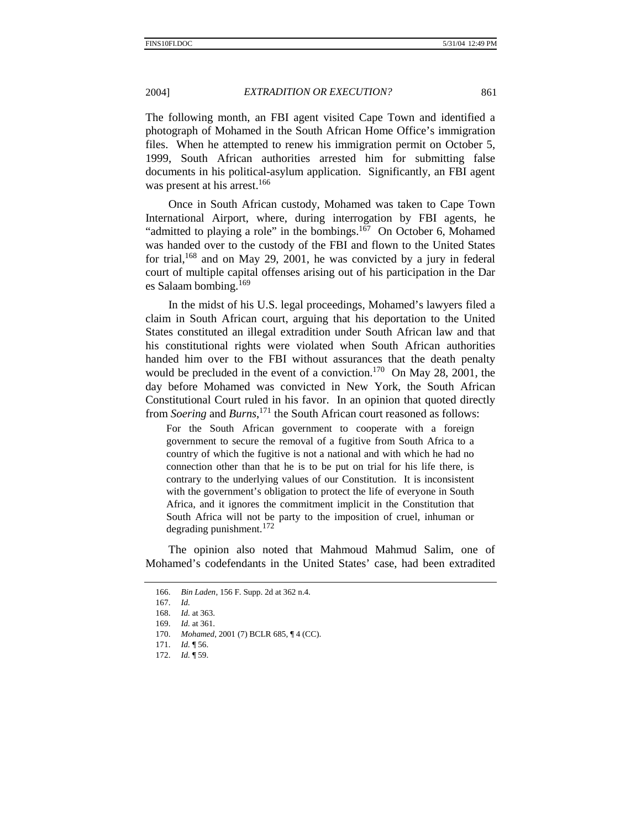The following month, an FBI agent visited Cape Town and identified a photograph of Mohamed in the South African Home Office's immigration files. When he attempted to renew his immigration permit on October 5, 1999, South African authorities arrested him for submitting false documents in his political-asylum application. Significantly, an FBI agent was present at his arrest.<sup>166</sup>

Once in South African custody, Mohamed was taken to Cape Town International Airport, where, during interrogation by FBI agents, he "admitted to playing a role" in the bombings. $167$  On October 6, Mohamed was handed over to the custody of the FBI and flown to the United States for trial, $168$  and on May 29, 2001, he was convicted by a jury in federal court of multiple capital offenses arising out of his participation in the Dar es Salaam bombing.<sup>169</sup>

In the midst of his U.S. legal proceedings, Mohamed's lawyers filed a claim in South African court, arguing that his deportation to the United States constituted an illegal extradition under South African law and that his constitutional rights were violated when South African authorities handed him over to the FBI without assurances that the death penalty would be precluded in the event of a conviction.<sup>170</sup> On May 28, 2001, the day before Mohamed was convicted in New York, the South African Constitutional Court ruled in his favor. In an opinion that quoted directly from *Soering* and *Burns*, 171 the South African court reasoned as follows:

For the South African government to cooperate with a foreign government to secure the removal of a fugitive from South Africa to a country of which the fugitive is not a national and with which he had no connection other than that he is to be put on trial for his life there, is contrary to the underlying values of our Constitution. It is inconsistent with the government's obligation to protect the life of everyone in South Africa, and it ignores the commitment implicit in the Constitution that South Africa will not be party to the imposition of cruel, inhuman or degrading punishment.<sup>172</sup>

The opinion also noted that Mahmoud Mahmud Salim, one of Mohamed's codefendants in the United States' case, had been extradited

<sup>166.</sup> *Bin Laden*, 156 F. Supp. 2d at 362 n.4.

<sup>167.</sup> *Id.*

<sup>168.</sup> *Id.* at 363.

<sup>169.</sup> *Id.* at 361.

<sup>170.</sup> *Mohamed*, 2001 (7) BCLR 685, ¶ 4 (CC).

<sup>171.</sup> *Id.* ¶ 56.

<sup>172.</sup> *Id.* ¶ 59.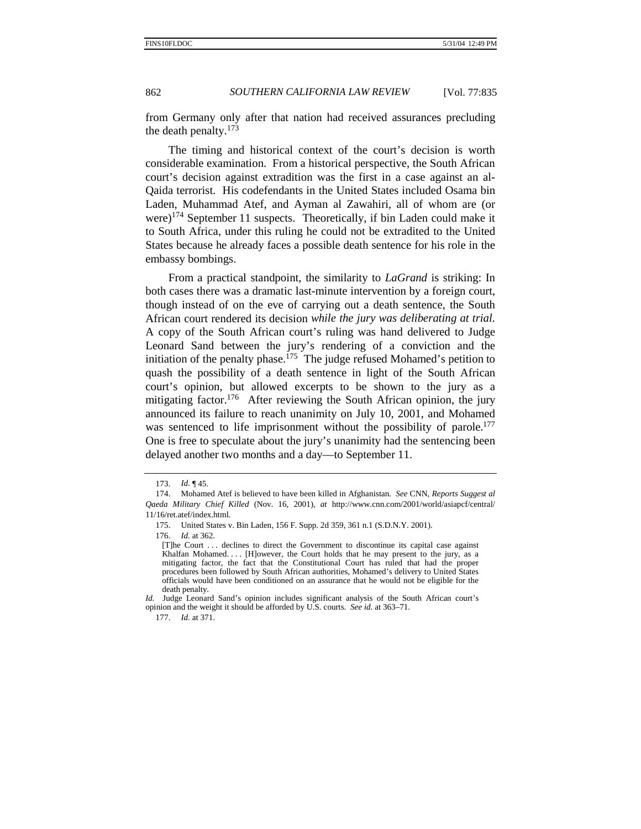from Germany only after that nation had received assurances precluding the death penalty.<sup>173</sup>

The timing and historical context of the court's decision is worth considerable examination. From a historical perspective, the South African court's decision against extradition was the first in a case against an al-Qaida terrorist. His codefendants in the United States included Osama bin Laden, Muhammad Atef, and Ayman al Zawahiri, all of whom are (or were)<sup>174</sup> September 11 suspects. Theoretically, if bin Laden could make it to South Africa, under this ruling he could not be extradited to the United States because he already faces a possible death sentence for his role in the embassy bombings.

From a practical standpoint, the similarity to *LaGrand* is striking: In both cases there was a dramatic last-minute intervention by a foreign court, though instead of on the eve of carrying out a death sentence, the South African court rendered its decision *while the jury was deliberating at trial.* A copy of the South African court's ruling was hand delivered to Judge Leonard Sand between the jury's rendering of a conviction and the initiation of the penalty phase.<sup>175</sup> The judge refused Mohamed's petition to quash the possibility of a death sentence in light of the South African court's opinion, but allowed excerpts to be shown to the jury as a mitigating factor.<sup>176</sup> After reviewing the South African opinion, the jury announced its failure to reach unanimity on July 10, 2001, and Mohamed was sentenced to life imprisonment without the possibility of parole.<sup>177</sup> One is free to speculate about the jury's unanimity had the sentencing been delayed another two months and a day—to September 11.

176. *Id.* at 362.

177. *Id.* at 371.

<sup>173.</sup> *Id.* ¶ 45.

 <sup>174.</sup> Mohamed Atef is believed to have been killed in Afghanistan. *See* CNN, *Reports Suggest al Qaeda Military Chief Killed* (Nov. 16, 2001), *at* http://www.cnn.com/2001/world/asiapcf/central/ 11/16/ret.atef/index.html.

<sup>175.</sup> United States v. Bin Laden, 156 F. Supp. 2d 359, 361 n.1 (S.D.N.Y. 2001).

<sup>[</sup>T]he Court . . . declines to direct the Government to discontinue its capital case against Khalfan Mohamed. . . . [H]owever, the Court holds that he may present to the jury, as a mitigating factor, the fact that the Constitutional Court has ruled that had the proper procedures been followed by South African authorities, Mohamed's delivery to United States officials would have been conditioned on an assurance that he would not be eligible for the death penalty.

*Id.* Judge Leonard Sand's opinion includes significant analysis of the South African court's opinion and the weight it should be afforded by U.S. courts. *See id.* at 363–71.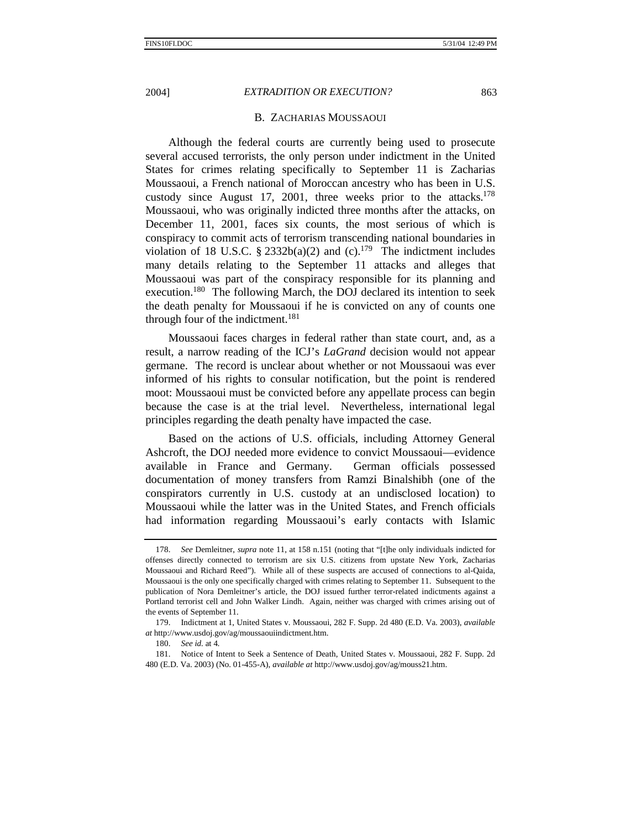### B. ZACHARIAS MOUSSAOUI

Although the federal courts are currently being used to prosecute several accused terrorists, the only person under indictment in the United States for crimes relating specifically to September 11 is Zacharias Moussaoui, a French national of Moroccan ancestry who has been in U.S. custody since August 17, 2001, three weeks prior to the attacks.<sup>178</sup> Moussaoui, who was originally indicted three months after the attacks, on December 11, 2001, faces six counts, the most serious of which is conspiracy to commit acts of terrorism transcending national boundaries in violation of 18 U.S.C. § 2332b(a)(2) and (c).<sup>179</sup> The indictment includes many details relating to the September 11 attacks and alleges that Moussaoui was part of the conspiracy responsible for its planning and execution.180 The following March, the DOJ declared its intention to seek the death penalty for Moussaoui if he is convicted on any of counts one through four of the indictment.<sup>181</sup>

Moussaoui faces charges in federal rather than state court, and, as a result, a narrow reading of the ICJ's *LaGrand* decision would not appear germane. The record is unclear about whether or not Moussaoui was ever informed of his rights to consular notification, but the point is rendered moot: Moussaoui must be convicted before any appellate process can begin because the case is at the trial level. Nevertheless, international legal principles regarding the death penalty have impacted the case.

Based on the actions of U.S. officials, including Attorney General Ashcroft, the DOJ needed more evidence to convict Moussaoui—evidence available in France and Germany. German officials possessed documentation of money transfers from Ramzi Binalshibh (one of the conspirators currently in U.S. custody at an undisclosed location) to Moussaoui while the latter was in the United States, and French officials had information regarding Moussaoui's early contacts with Islamic

<sup>178.</sup> *See* Demleitner, *supra* note 11, at 158 n.151 (noting that "[t]he only individuals indicted for offenses directly connected to terrorism are six U.S. citizens from upstate New York, Zacharias Moussaoui and Richard Reed"). While all of these suspects are accused of connections to al-Qaida, Moussaoui is the only one specifically charged with crimes relating to September 11. Subsequent to the publication of Nora Demleitner's article, the DOJ issued further terror-related indictments against a Portland terrorist cell and John Walker Lindh. Again, neither was charged with crimes arising out of the events of September 11.

 <sup>179.</sup> Indictment at 1, United States v. Moussaoui, 282 F. Supp. 2d 480 (E.D. Va. 2003), *available at* http://www.usdoj.gov/ag/moussaouiindictment.htm.

<sup>180.</sup> *See id.* at 4*.*

 <sup>181.</sup> Notice of Intent to Seek a Sentence of Death, United States v. Moussaoui, 282 F. Supp. 2d 480 (E.D. Va. 2003) (No. 01-455-A), *available at* http://www.usdoj.gov/ag/mouss21.htm.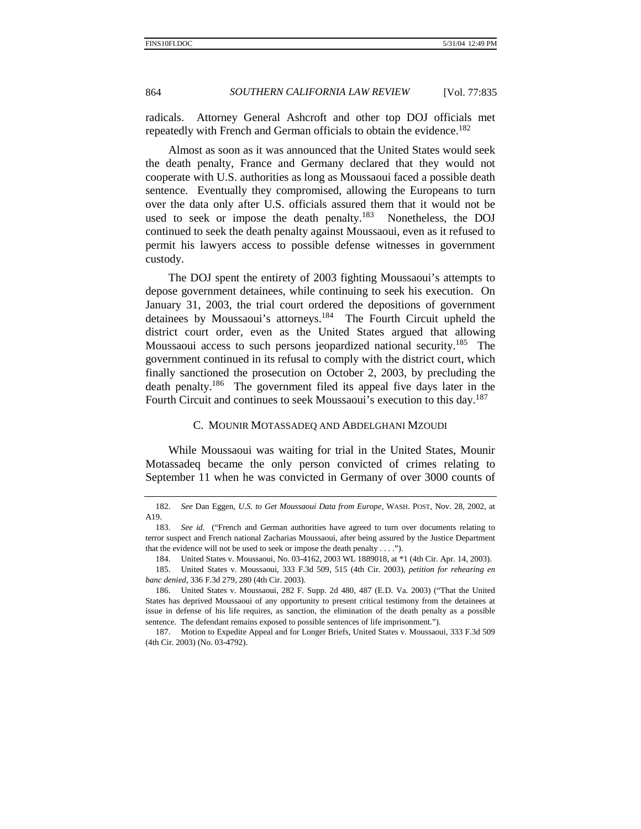radicals. Attorney General Ashcroft and other top DOJ officials met repeatedly with French and German officials to obtain the evidence.<sup>182</sup>

Almost as soon as it was announced that the United States would seek the death penalty, France and Germany declared that they would not cooperate with U.S. authorities as long as Moussaoui faced a possible death sentence. Eventually they compromised, allowing the Europeans to turn over the data only after U.S. officials assured them that it would not be used to seek or impose the death penalty.<sup>183</sup> Nonetheless, the DOJ continued to seek the death penalty against Moussaoui, even as it refused to permit his lawyers access to possible defense witnesses in government custody.

The DOJ spent the entirety of 2003 fighting Moussaoui's attempts to depose government detainees, while continuing to seek his execution. On January 31, 2003, the trial court ordered the depositions of government detainees by Moussaoui's attorneys.<sup>184</sup> The Fourth Circuit upheld the district court order, even as the United States argued that allowing Moussaoui access to such persons jeopardized national security.<sup>185</sup> The government continued in its refusal to comply with the district court, which finally sanctioned the prosecution on October 2, 2003, by precluding the death penalty.186 The government filed its appeal five days later in the Fourth Circuit and continues to seek Moussaoui's execution to this day.<sup>187</sup>

### C. MOUNIR MOTASSADEQ AND ABDELGHANI MZOUDI

While Moussaoui was waiting for trial in the United States, Mounir Motassadeq became the only person convicted of crimes relating to September 11 when he was convicted in Germany of over 3000 counts of

<sup>182.</sup> *See* Dan Eggen, *U.S. to Get Moussaoui Data from Europe*, WASH. POST, Nov. 28, 2002, at A19.

<sup>183.</sup> *See id.* ("French and German authorities have agreed to turn over documents relating to terror suspect and French national Zacharias Moussaoui, after being assured by the Justice Department that the evidence will not be used to seek or impose the death penalty . . . .").

 <sup>184.</sup> United States v. Moussaoui, No. 03-4162, 2003 WL 1889018, at \*1 (4th Cir. Apr. 14, 2003).

 <sup>185.</sup> United States v. Moussaoui, 333 F.3d 509, 515 (4th Cir. 2003), *petition for rehearing en banc denied*, 336 F.3d 279, 280 (4th Cir. 2003).

 <sup>186.</sup> United States v. Moussaoui, 282 F. Supp. 2d 480, 487 (E.D. Va. 2003) ("That the United States has deprived Moussaoui of any opportunity to present critical testimony from the detainees at issue in defense of his life requires, as sanction, the elimination of the death penalty as a possible sentence. The defendant remains exposed to possible sentences of life imprisonment.").

 <sup>187.</sup> Motion to Expedite Appeal and for Longer Briefs, United States v. Moussaoui, 333 F.3d 509 (4th Cir. 2003) (No. 03-4792).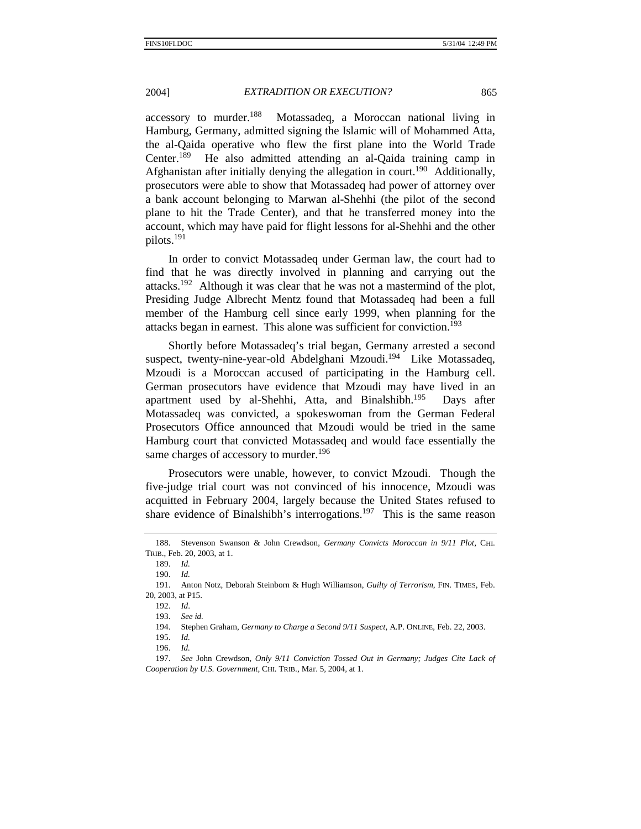$accessory$  to murder.<sup>188</sup> Motassadeq, a Moroccan national living in Hamburg, Germany, admitted signing the Islamic will of Mohammed Atta, the al-Qaida operative who flew the first plane into the World Trade Center.189 He also admitted attending an al-Qaida training camp in Afghanistan after initially denying the allegation in court.<sup>190</sup> Additionally, prosecutors were able to show that Motassadeq had power of attorney over a bank account belonging to Marwan al-Shehhi (the pilot of the second plane to hit the Trade Center), and that he transferred money into the account, which may have paid for flight lessons for al-Shehhi and the other pilots.191

In order to convict Motassadeq under German law, the court had to find that he was directly involved in planning and carrying out the attacks.<sup>192</sup> Although it was clear that he was not a mastermind of the plot, Presiding Judge Albrecht Mentz found that Motassadeq had been a full member of the Hamburg cell since early 1999, when planning for the attacks began in earnest. This alone was sufficient for conviction.193

Shortly before Motassadeq's trial began, Germany arrested a second suspect, twenty-nine-year-old Abdelghani Mzoudi.<sup>194</sup> Like Motassadeq, Mzoudi is a Moroccan accused of participating in the Hamburg cell. German prosecutors have evidence that Mzoudi may have lived in an apartment used by al-Shehhi, Atta, and Binalshibh.<sup>195</sup> Days after Motassadeq was convicted, a spokeswoman from the German Federal Prosecutors Office announced that Mzoudi would be tried in the same Hamburg court that convicted Motassadeq and would face essentially the same charges of accessory to murder.<sup>196</sup>

Prosecutors were unable, however, to convict Mzoudi. Though the five-judge trial court was not convinced of his innocence, Mzoudi was acquitted in February 2004, largely because the United States refused to share evidence of Binalshibh's interrogations.<sup>197</sup> This is the same reason

 <sup>188.</sup> Stevenson Swanson & John Crewdson, *Germany Convicts Moroccan in 9/11 Plot*, CHI. TRIB., Feb. 20, 2003, at 1.

<sup>189.</sup> *Id.*

<sup>190.</sup> *Id.*

 <sup>191.</sup> Anton Notz, Deborah Steinborn & Hugh Williamson, *Guilty of Terrorism*, FIN. TIMES, Feb. 20, 2003, at P15.

<sup>192.</sup> *Id*.

<sup>193.</sup> *See id.*

 <sup>194.</sup> Stephen Graham, *Germany to Charge a Second 9/11 Suspect*, A.P. ONLINE, Feb. 22, 2003.

<sup>195.</sup> *Id.*

<sup>196.</sup> *Id.*

<sup>197.</sup> *See* John Crewdson, *Only 9/11 Conviction Tossed Out in Germany; Judges Cite Lack of Cooperation by U.S. Government*, CHI. TRIB., Mar. 5, 2004, at 1.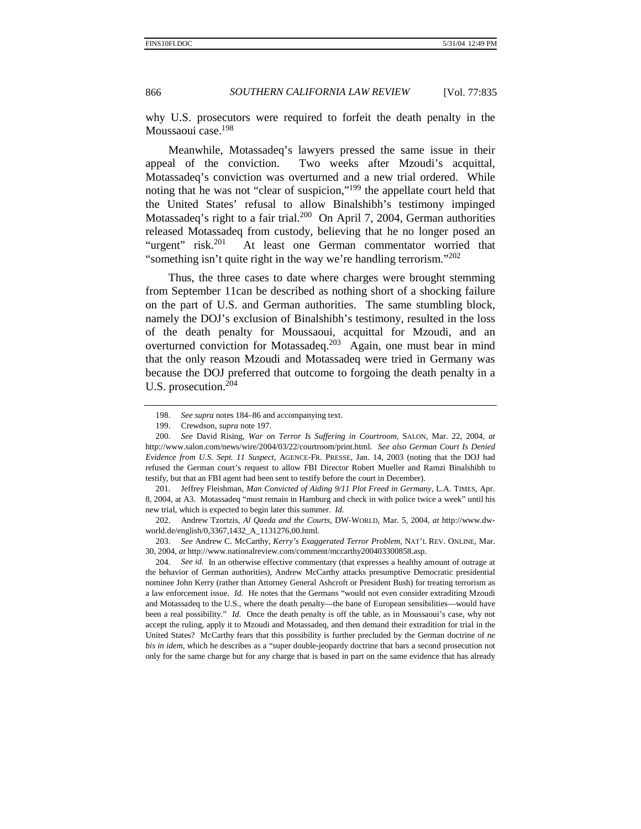why U.S. prosecutors were required to forfeit the death penalty in the Moussaoui case.<sup>198</sup>

Meanwhile, Motassadeq's lawyers pressed the same issue in their appeal of the conviction. Two weeks after Mzoudi's acquittal, Motassadeq's conviction was overturned and a new trial ordered. While noting that he was not "clear of suspicion,"199 the appellate court held that the United States' refusal to allow Binalshibh's testimony impinged Motassadeq's right to a fair trial.<sup>200</sup> On April 7, 2004, German authorities released Motassadeq from custody, believing that he no longer posed an "urgent" risk.<sup>201</sup> At least one German commentator worried that "something isn't quite right in the way we're handling terrorism."<sup>202</sup>

Thus, the three cases to date where charges were brought stemming from September 11can be described as nothing short of a shocking failure on the part of U.S. and German authorities. The same stumbling block, namely the DOJ's exclusion of Binalshibh's testimony, resulted in the loss of the death penalty for Moussaoui, acquittal for Mzoudi, and an overturned conviction for Motassadeq.<sup>203</sup> Again, one must bear in mind that the only reason Mzoudi and Motassadeq were tried in Germany was because the DOJ preferred that outcome to forgoing the death penalty in a U.S. prosecution.204

203. *See* Andrew C. McCarthy, *Kerry's Exaggerated Terror Problem*, NAT'L REV. ONLINE, Mar. 30, 2004, *at* http://www.nationalreview.com/comment/mccarthy200403300858.asp.

204. *See id.* In an otherwise effective commentary (that expresses a healthy amount of outrage at the behavior of German authorities), Andrew McCarthy attacks presumptive Democratic presidential nominee John Kerry (rather than Attorney General Ashcroft or President Bush) for treating terrorism as a law enforcement issue. *Id.* He notes that the Germans "would not even consider extraditing Mzoudi and Motassadeq to the U.S., where the death penalty—the bane of European sensibilities—would have been a real possibility." *Id.* Once the death penalty is off the table, as in Moussaoui's case, why not accept the ruling, apply it to Mzoudi and Motassadeq, and then demand their extradition for trial in the United States? McCarthy fears that this possibility is further precluded by the German doctrine of *ne bis in idem*, which he describes as a "super double-jeopardy doctrine that bars a second prosecution not only for the same charge but for any charge that is based in part on the same evidence that has already

<sup>198.</sup> *See supra* notes 184–86 and accompanying text.

 <sup>199.</sup> Crewdson, *supra* note 197.

 <sup>200.</sup> *See* David Rising, *War on Terror Is Suffering in Courtroom*, SALON, Mar. 22, 2004, *at*  http://www.salon.com/news/wire/2004/03/22/courtroom/print.html. *See also German Court Is Denied Evidence from U.S. Sept. 11 Suspect*, AGENCE-FR. PRESSE, Jan. 14, 2003 (noting that the DOJ had refused the German court's request to allow FBI Director Robert Mueller and Ramzi Binalshibh to testify, but that an FBI agent had been sent to testify before the court in December).

 <sup>201.</sup> Jeffrey Fleishman, *Man Convicted of Aiding 9/11 Plot Freed in Germany*, L.A. TIMES, Apr. 8, 2004, at A3. Motassadeq "must remain in Hamburg and check in with police twice a week" until his new trial, which is expected to begin later this summer. *Id.*

 <sup>202.</sup> Andrew Tzortzis, *Al Qaeda and the Courts*, DW-WORLD, Mar. 5, 2004, *at* http://www.dwworld.de/english/0,3367,1432\_A\_1131276,00.html.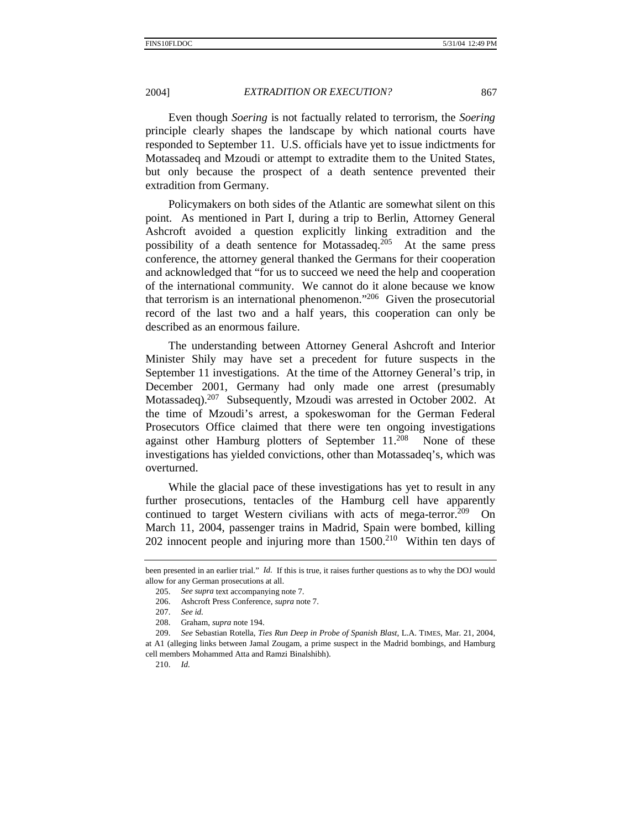Even though *Soering* is not factually related to terrorism, the *Soering*  principle clearly shapes the landscape by which national courts have responded to September 11. U.S. officials have yet to issue indictments for Motassadeq and Mzoudi or attempt to extradite them to the United States, but only because the prospect of a death sentence prevented their extradition from Germany.

Policymakers on both sides of the Atlantic are somewhat silent on this point. As mentioned in Part I, during a trip to Berlin, Attorney General Ashcroft avoided a question explicitly linking extradition and the possibility of a death sentence for Motassadeq.<sup>205</sup> At the same press conference, the attorney general thanked the Germans for their cooperation and acknowledged that "for us to succeed we need the help and cooperation of the international community. We cannot do it alone because we know that terrorism is an international phenomenon."206 Given the prosecutorial record of the last two and a half years, this cooperation can only be described as an enormous failure.

The understanding between Attorney General Ashcroft and Interior Minister Shily may have set a precedent for future suspects in the September 11 investigations. At the time of the Attorney General's trip, in December 2001, Germany had only made one arrest (presumably Motassadeq).<sup>207</sup> Subsequently, Mzoudi was arrested in October 2002. At the time of Mzoudi's arrest, a spokeswoman for the German Federal Prosecutors Office claimed that there were ten ongoing investigations against other Hamburg plotters of September 11.<sup>208</sup> None of these investigations has yielded convictions, other than Motassadeq's, which was overturned.

While the glacial pace of these investigations has yet to result in any further prosecutions, tentacles of the Hamburg cell have apparently continued to target Western civilians with acts of mega-terror.<sup>209</sup> On March 11, 2004, passenger trains in Madrid, Spain were bombed, killing 202 innocent people and injuring more than  $1500<sup>210</sup>$  Within ten days of

been presented in an earlier trial." *Id.* If this is true, it raises further questions as to why the DOJ would allow for any German prosecutions at all.

<sup>205.</sup> *See supra* text accompanying note 7.

 <sup>206.</sup> Ashcroft Press Conference, *supra* note 7.

<sup>207.</sup> *See id.*

 <sup>208.</sup> Graham, *supra* note 194.

<sup>209.</sup> *See* Sebastian Rotella, *Ties Run Deep in Probe of Spanish Blast*, L.A. TIMES, Mar. 21, 2004,

at A1 (alleging links between Jamal Zougam, a prime suspect in the Madrid bombings, and Hamburg cell members Mohammed Atta and Ramzi Binalshibh).

<sup>210.</sup> *Id.*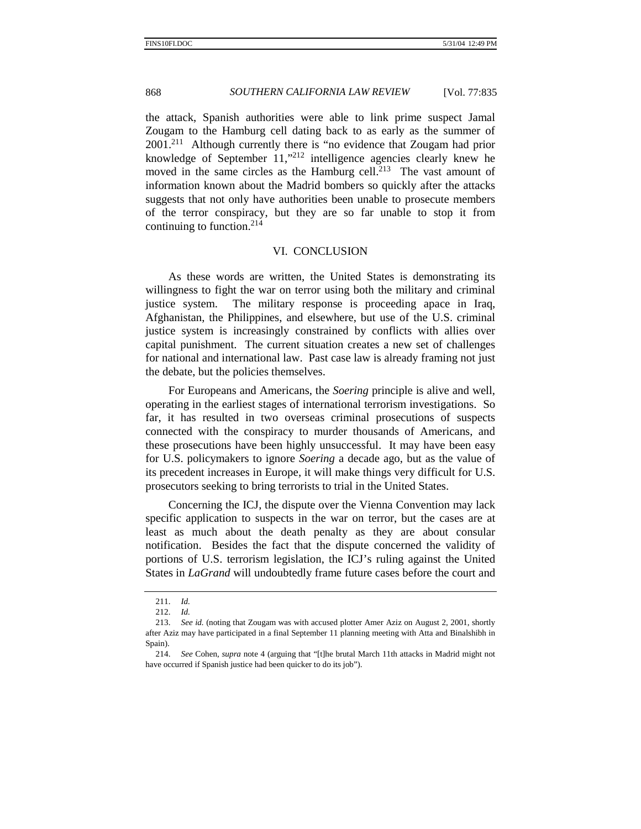the attack, Spanish authorities were able to link prime suspect Jamal Zougam to the Hamburg cell dating back to as early as the summer of 2001.211 Although currently there is "no evidence that Zougam had prior knowledge of September  $11$ ," $212$  intelligence agencies clearly knew he moved in the same circles as the Hamburg cell.<sup>213</sup> The vast amount of information known about the Madrid bombers so quickly after the attacks suggests that not only have authorities been unable to prosecute members of the terror conspiracy, but they are so far unable to stop it from continuing to function.214

### VI. CONCLUSION

As these words are written, the United States is demonstrating its willingness to fight the war on terror using both the military and criminal justice system. The military response is proceeding apace in Iraq, Afghanistan, the Philippines, and elsewhere, but use of the U.S. criminal justice system is increasingly constrained by conflicts with allies over capital punishment. The current situation creates a new set of challenges for national and international law. Past case law is already framing not just the debate, but the policies themselves.

For Europeans and Americans, the *Soering* principle is alive and well, operating in the earliest stages of international terrorism investigations. So far, it has resulted in two overseas criminal prosecutions of suspects connected with the conspiracy to murder thousands of Americans, and these prosecutions have been highly unsuccessful. It may have been easy for U.S. policymakers to ignore *Soering* a decade ago, but as the value of its precedent increases in Europe, it will make things very difficult for U.S. prosecutors seeking to bring terrorists to trial in the United States.

Concerning the ICJ, the dispute over the Vienna Convention may lack specific application to suspects in the war on terror, but the cases are at least as much about the death penalty as they are about consular notification. Besides the fact that the dispute concerned the validity of portions of U.S. terrorism legislation, the ICJ's ruling against the United States in *LaGrand* will undoubtedly frame future cases before the court and

<sup>211.</sup> *Id.*

<sup>212.</sup> *Id.*

<sup>213.</sup> *See id.* (noting that Zougam was with accused plotter Amer Aziz on August 2, 2001, shortly after Aziz may have participated in a final September 11 planning meeting with Atta and Binalshibh in Spain).

<sup>214.</sup> *See* Cohen, *supra* note 4 (arguing that "[t]he brutal March 11th attacks in Madrid might not have occurred if Spanish justice had been quicker to do its job").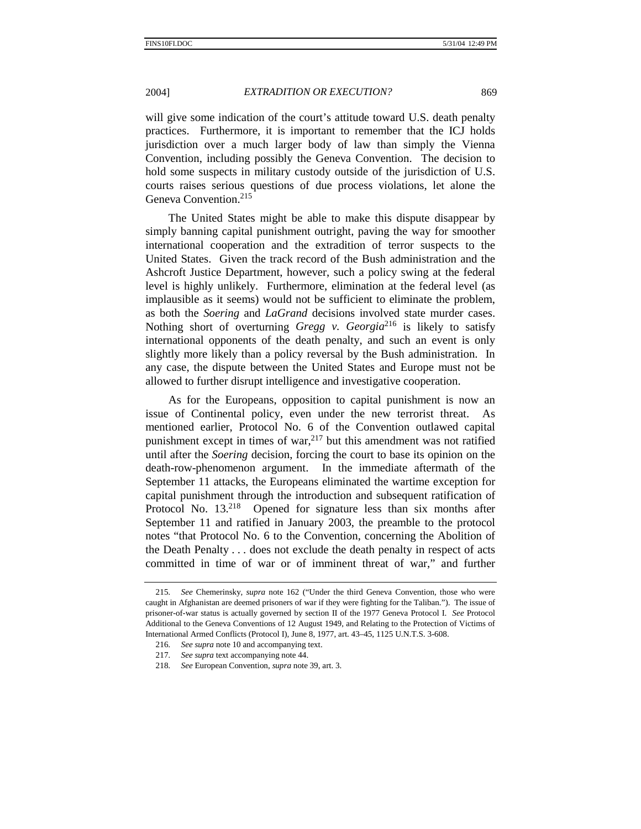will give some indication of the court's attitude toward U.S. death penalty practices. Furthermore, it is important to remember that the ICJ holds jurisdiction over a much larger body of law than simply the Vienna Convention, including possibly the Geneva Convention. The decision to hold some suspects in military custody outside of the jurisdiction of U.S. courts raises serious questions of due process violations, let alone the Geneva Convention.<sup>215</sup>

The United States might be able to make this dispute disappear by simply banning capital punishment outright, paving the way for smoother international cooperation and the extradition of terror suspects to the United States. Given the track record of the Bush administration and the Ashcroft Justice Department, however, such a policy swing at the federal level is highly unlikely. Furthermore, elimination at the federal level (as implausible as it seems) would not be sufficient to eliminate the problem, as both the *Soering* and *LaGrand* decisions involved state murder cases. Nothing short of overturning *Gregg v. Georgia*216 is likely to satisfy international opponents of the death penalty, and such an event is only slightly more likely than a policy reversal by the Bush administration. In any case, the dispute between the United States and Europe must not be allowed to further disrupt intelligence and investigative cooperation.

As for the Europeans, opposition to capital punishment is now an issue of Continental policy, even under the new terrorist threat. As mentioned earlier, Protocol No. 6 of the Convention outlawed capital punishment except in times of war, $2^{17}$  but this amendment was not ratified until after the *Soering* decision, forcing the court to base its opinion on the death-row-phenomenon argument. In the immediate aftermath of the September 11 attacks, the Europeans eliminated the wartime exception for capital punishment through the introduction and subsequent ratification of Protocol No. 13.<sup>218</sup> Opened for signature less than six months after September 11 and ratified in January 2003, the preamble to the protocol notes "that Protocol No. 6 to the Convention, concerning the Abolition of the Death Penalty . . . does not exclude the death penalty in respect of acts committed in time of war or of imminent threat of war," and further

<sup>215</sup>*. See* Chemerinsky, *supra* note 162 ("Under the third Geneva Convention, those who were caught in Afghanistan are deemed prisoners of war if they were fighting for the Taliban."). The issue of prisoner-of-war status is actually governed by section II of the 1977 Geneva Protocol I. *See* Protocol Additional to the Geneva Conventions of 12 August 1949, and Relating to the Protection of Victims of International Armed Conflicts (Protocol I), June 8, 1977, art. 43–45, 1125 U.N.T.S. 3-608.

<sup>216</sup>*. See supra* note 10 and accompanying text.

<sup>217</sup>*. See supra* text accompanying note 44.

<sup>218</sup>*. See* European Convention, *supra* note 39, art. 3.